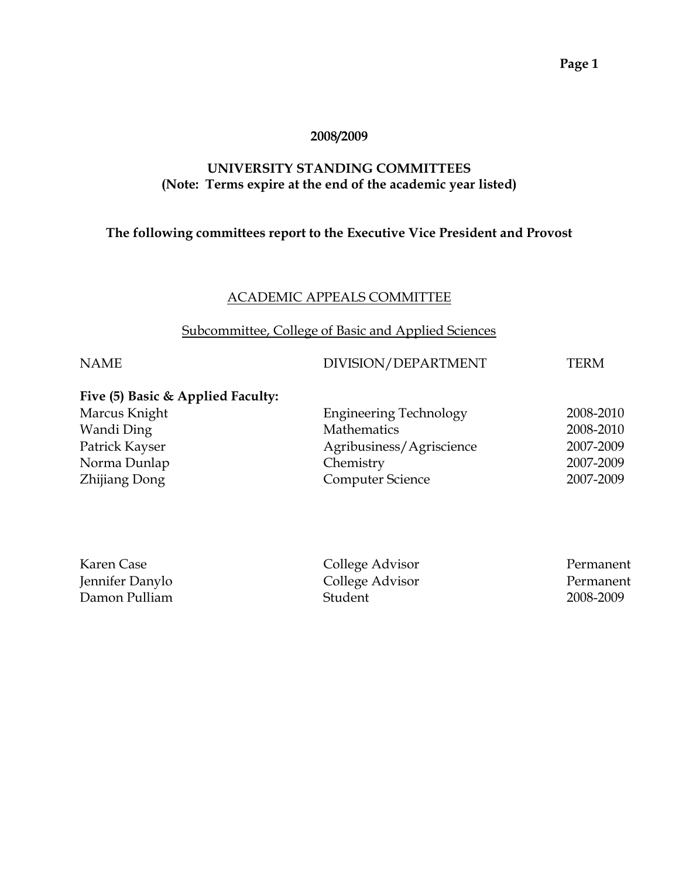#### **2008/2009**

#### **UNIVERSITY STANDING COMMITTEES (Note: Terms expire at the end of the academic year listed)**

#### **The following committees report to the Executive Vice President and Provost**

#### ACADEMIC APPEALS COMMITTEE

#### Subcommittee, College of Basic and Applied Sciences

#### NAME DIVISION/DEPARTMENT TERM

#### **Five (5) Basic & Applied Faculty:**

| Marcus Knight  |  | <b>Engineering Technology</b> | 2008-2010 |
|----------------|--|-------------------------------|-----------|
| Wandi Ding     |  | Mathematics                   | 2008-2010 |
| Patrick Kayser |  | Agribusiness/Agriscience      | 2007-2009 |
| Norma Dunlap   |  | Chemistry                     | 2007-2009 |
| Zhijiang Dong  |  | <b>Computer Science</b>       | 2007-2009 |
|                |  |                               |           |

| Karen Case      | College Advisor | Permanent |
|-----------------|-----------------|-----------|
| Jennifer Danylo | College Advisor | Permanent |
| Damon Pulliam   | Student         | 2008-2009 |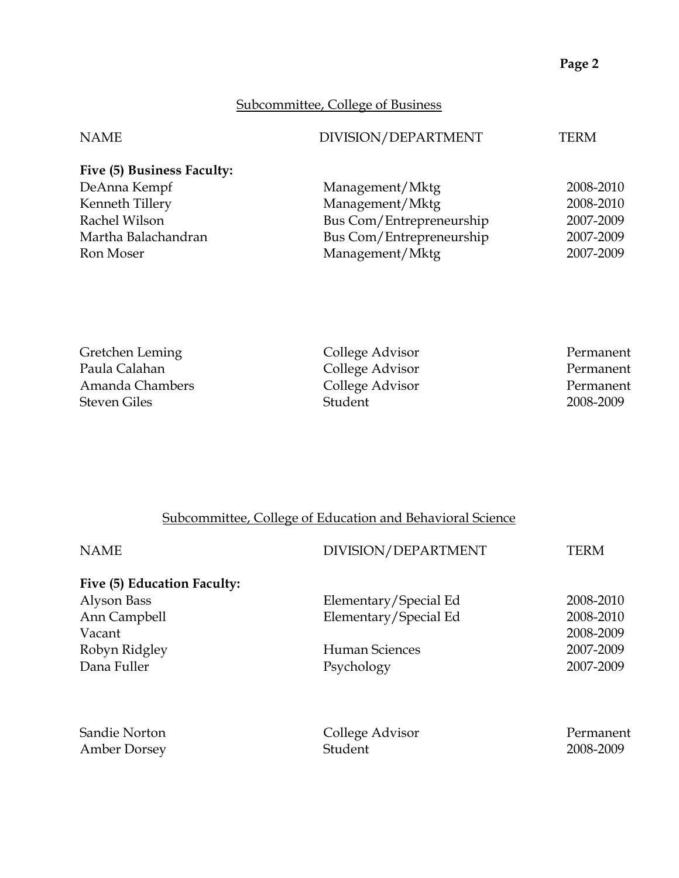## Subcommittee, College of Business

| <b>NAME</b>                | DIVISION/DEPARTMENT      | <b>TERM</b> |
|----------------------------|--------------------------|-------------|
| Five (5) Business Faculty: |                          |             |
| DeAnna Kempf               | Management/Mktg          | 2008-2010   |
| Kenneth Tillery            | Management/Mktg          | 2008-2010   |
| Rachel Wilson              | Bus Com/Entrepreneurship | 2007-2009   |
| Martha Balachandran        | Bus Com/Entrepreneurship | 2007-2009   |
| Ron Moser                  | Management/Mktg          | 2007-2009   |

| College Advisor | Permanent |
|-----------------|-----------|
| College Advisor | Permanent |
| College Advisor | Permanent |
| Student         | 2008-2009 |
|                 |           |

# Subcommittee, College of Education and Behavioral Science

| <b>NAME</b>                 | DIVISION/DEPARTMENT   | TERM      |
|-----------------------------|-----------------------|-----------|
| Five (5) Education Faculty: |                       |           |
| Alyson Bass                 | Elementary/Special Ed | 2008-2010 |
| Ann Campbell                | Elementary/Special Ed | 2008-2010 |
| Vacant                      |                       | 2008-2009 |
| Robyn Ridgley               | Human Sciences        | 2007-2009 |
| Dana Fuller                 | Psychology            | 2007-2009 |
| Sandie Norton               | College Advisor       | Permanent |
| <b>Amber Dorsey</b>         | Student               | 2008-2009 |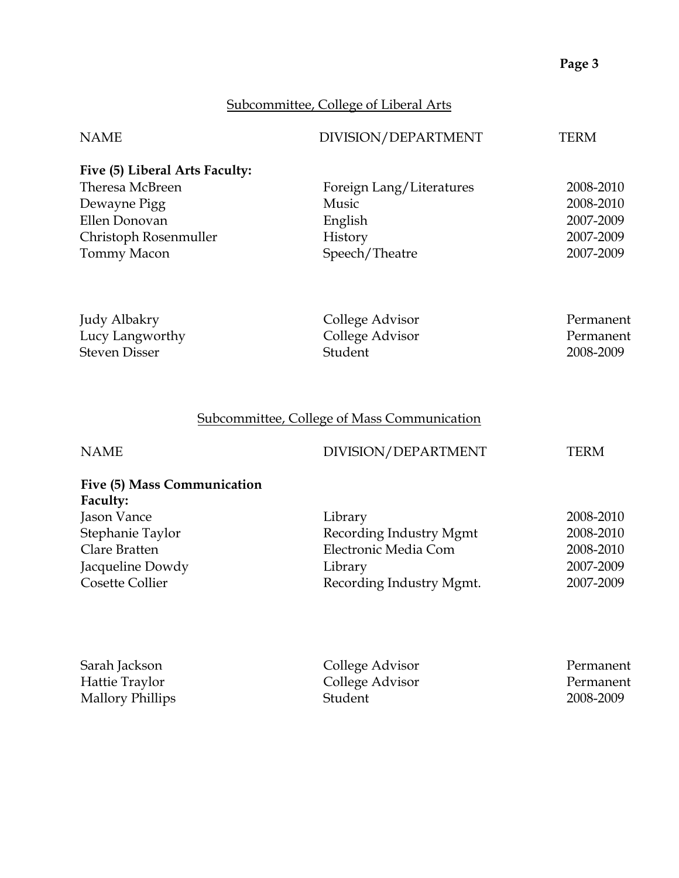# Subcommittee, College of Liberal Arts

| <b>NAME</b>                                                                                                                               | DIVISION/DEPARTMENT                                                                               | <b>TERM</b>                                                   |
|-------------------------------------------------------------------------------------------------------------------------------------------|---------------------------------------------------------------------------------------------------|---------------------------------------------------------------|
| Five (5) Liberal Arts Faculty:<br>Theresa McBreen<br>Dewayne Pigg<br>Ellen Donovan<br>Christoph Rosenmuller<br>Tommy Macon                | Foreign Lang/Literatures<br>Music<br>English<br>History<br>Speech/Theatre                         | 2008-2010<br>2008-2010<br>2007-2009<br>2007-2009<br>2007-2009 |
| Judy Albakry<br>Lucy Langworthy<br><b>Steven Disser</b>                                                                                   | College Advisor<br>College Advisor<br>Student                                                     | Permanent<br>Permanent<br>2008-2009                           |
|                                                                                                                                           | <b>Subcommittee, College of Mass Communication</b>                                                |                                                               |
| <b>NAME</b>                                                                                                                               | DIVISION/DEPARTMENT                                                                               | <b>TERM</b>                                                   |
| Five (5) Mass Communication<br>Faculty:<br>Jason Vance<br>Stephanie Taylor<br>Clare Bratten<br>Jacqueline Dowdy<br><b>Cosette Collier</b> | Library<br>Recording Industry Mgmt<br>Electronic Media Com<br>Library<br>Recording Industry Mgmt. | 2008-2010<br>2008-2010<br>2008-2010<br>2007-2009<br>2007-2009 |
| Sarah Jackson<br>Hattie Traylor<br><b>Mallory Phillips</b>                                                                                | College Advisor<br>College Advisor<br>Student                                                     | Permanent<br>Permanent<br>2008-2009                           |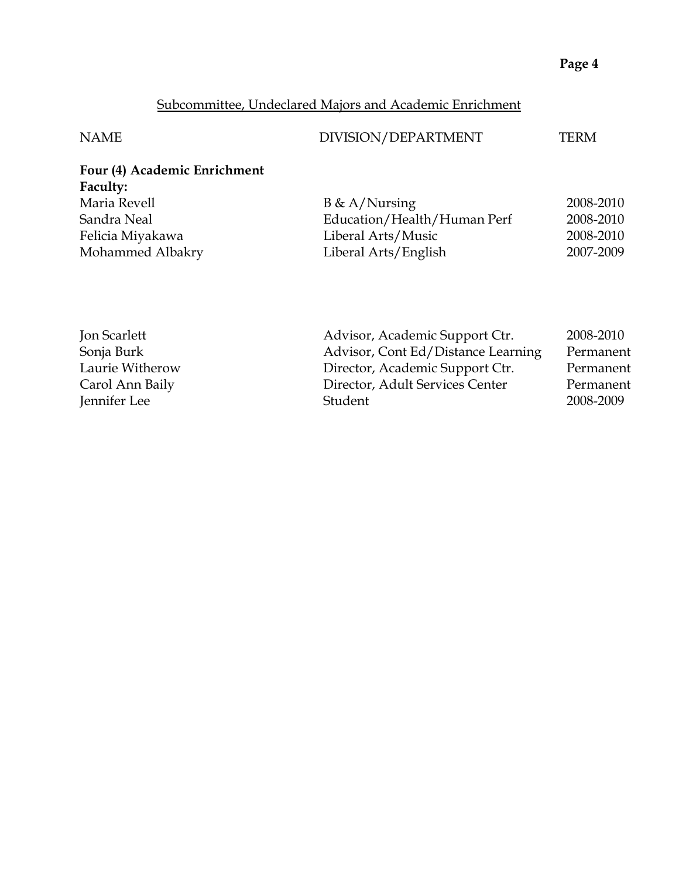# Subcommittee, Undeclared Majors and Academic Enrichment

| <b>NAME</b>                  | DIVISION/DEPARTMENT         | TERM      |
|------------------------------|-----------------------------|-----------|
| Four (4) Academic Enrichment |                             |           |
| Faculty:                     |                             |           |
| Maria Revell                 | $B \& A/Nursing$            | 2008-2010 |
| Sandra Neal                  | Education/Health/Human Perf | 2008-2010 |
| Felicia Miyakawa             | Liberal Arts/Music          | 2008-2010 |
| Mohammed Albakry             | Liberal Arts/English        | 2007-2009 |

|                                 | 2008-2010                                                            |
|---------------------------------|----------------------------------------------------------------------|
|                                 | Permanent                                                            |
| Director, Academic Support Ctr. | Permanent                                                            |
| Director, Adult Services Center | Permanent                                                            |
| Student                         | 2008-2009                                                            |
|                                 | Advisor, Academic Support Ctr.<br>Advisor, Cont Ed/Distance Learning |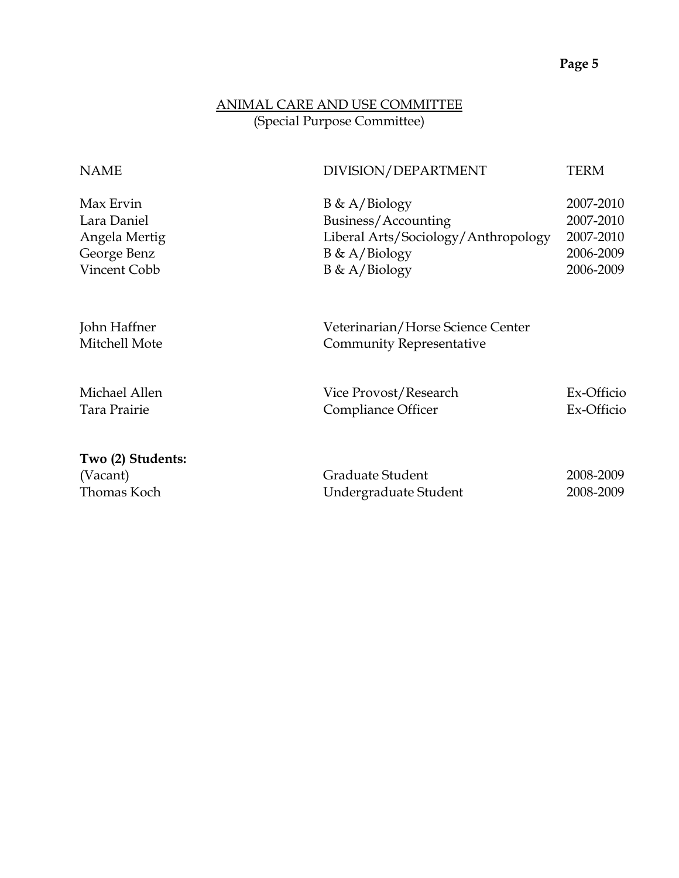## ANIMAL CARE AND USE COMMITTEE (Special Purpose Committee)

| <b>NAME</b>                                                              | DIVISION/DEPARTMENT                                                                                                    | <b>TERM</b>                                                   |
|--------------------------------------------------------------------------|------------------------------------------------------------------------------------------------------------------------|---------------------------------------------------------------|
| Max Ervin<br>Lara Daniel<br>Angela Mertig<br>George Benz<br>Vincent Cobb | $B \& A/Biology$<br>Business/Accounting<br>Liberal Arts/Sociology/Anthropology<br>$B \& A/Biology$<br>$B \& A/Biology$ | 2007-2010<br>2007-2010<br>2007-2010<br>2006-2009<br>2006-2009 |
| John Haffner<br>Mitchell Mote                                            | Veterinarian/Horse Science Center<br><b>Community Representative</b>                                                   |                                                               |
| Michael Allen<br>Tara Prairie                                            | Vice Provost/Research<br>Compliance Officer                                                                            | Ex-Officio<br>Ex-Officio                                      |
| Two (2) Students:<br>(Vacant)<br>Thomas Koch                             | Graduate Student<br>Undergraduate Student                                                                              | 2008-2009<br>2008-2009                                        |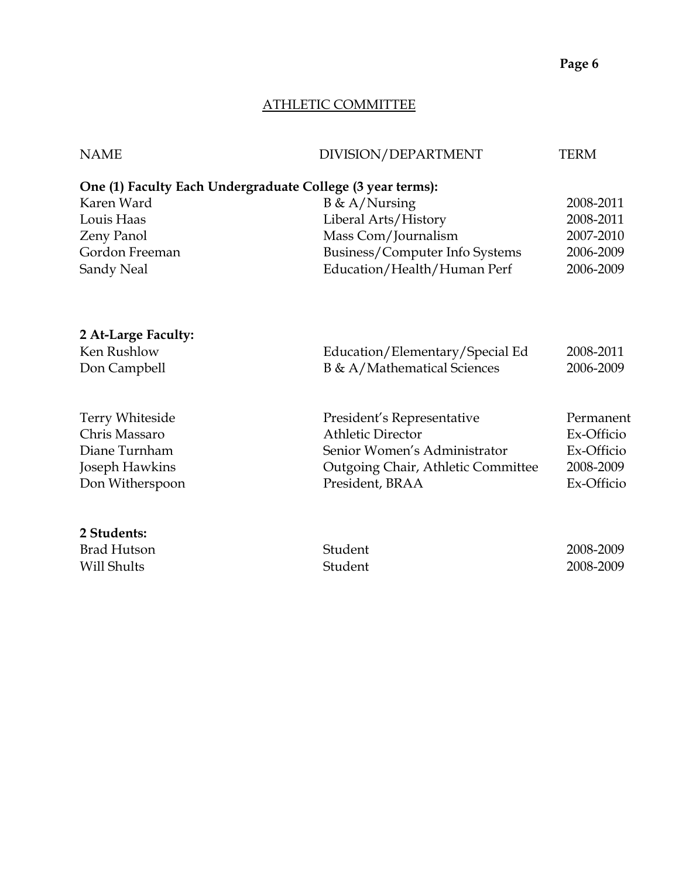### ATHLETIC COMMITTEE

| <b>NAME</b>            | DIVISION/DEPARTMENT                                        | <b>TERM</b> |
|------------------------|------------------------------------------------------------|-------------|
|                        | One (1) Faculty Each Undergraduate College (3 year terms): |             |
| Karen Ward             | $B \& A/Nursing$                                           | 2008-2011   |
| Louis Haas             | Liberal Arts/History                                       | 2008-2011   |
| Zeny Panol             | Mass Com/Journalism                                        | 2007-2010   |
| Gordon Freeman         | Business/Computer Info Systems                             | 2006-2009   |
| Sandy Neal             | Education/Health/Human Perf                                | 2006-2009   |
| 2 At-Large Faculty:    |                                                            |             |
| Ken Rushlow            | Education/Elementary/Special Ed                            | 2008-2011   |
| Don Campbell           | B & A/Mathematical Sciences                                | 2006-2009   |
| <b>Terry Whiteside</b> | President's Representative                                 | Permanent   |
| Chris Massaro          | <b>Athletic Director</b>                                   | Ex-Officio  |
| Diane Turnham          | Senior Women's Administrator                               | Ex-Officio  |
| Joseph Hawkins         | Outgoing Chair, Athletic Committee                         | 2008-2009   |
| Don Witherspoon        | President, BRAA                                            | Ex-Officio  |
| 2 Students:            |                                                            |             |
| <b>Brad Hutson</b>     | Student                                                    | 2008-2009   |
| Will Shults            | Student                                                    | 2008-2009   |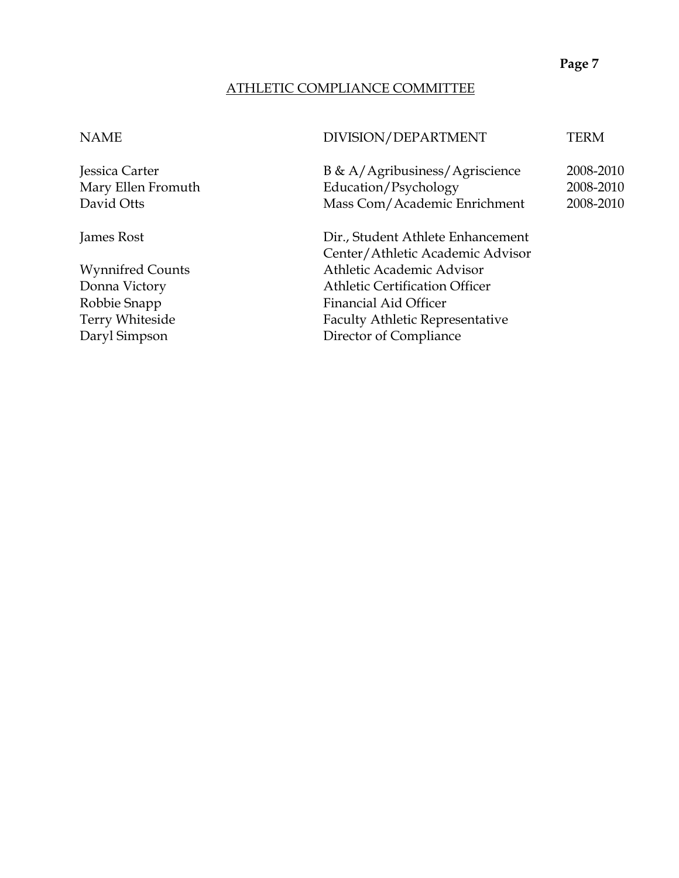#### ATHLETIC COMPLIANCE COMMITTEE

## NAME DIVISION/DEPARTMENT TERM

Jessica Carter B & A/Agribusiness/Agriscience 2008-2010 Mary Ellen Fromuth Education/Psychology 2008-2010 David Otts Mass Com/Academic Enrichment 2008-2010

James Rost Dir., Student Athlete Enhancement Center/Athletic Academic Advisor Wynnifred Counts Athletic Academic Advisor Donna Victory Athletic Certification Officer Robbie Snapp Financial Aid Officer Terry Whiteside Faculty Athletic Representative Daryl Simpson Director of Compliance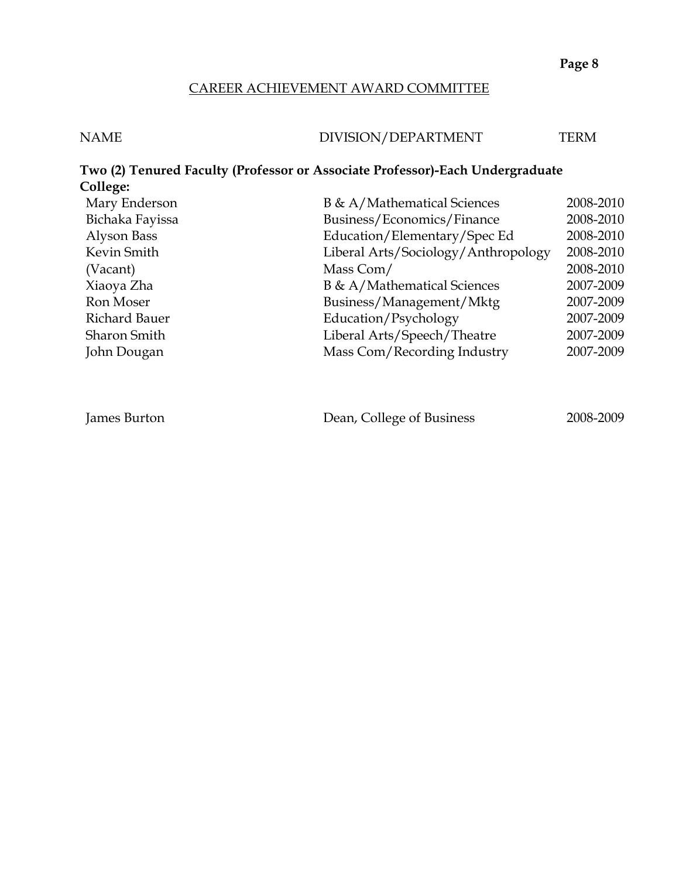#### CAREER ACHIEVEMENT AWARD COMMITTEE

| <b>NAME</b> | DIVISION/DEPARTMENT | <b>TERM</b> |
|-------------|---------------------|-------------|
|             |                     |             |

### **Two (2) Tenured Faculty (Professor or Associate Professor)-Each Undergraduate College:** B & A/Mathematical Sciences 2008-2010 Bichaka Fayissa Business/Economics/Finance 2008-2010

| Bichaka Fayissa     | Business/Economics/Finance          | 2008-2010 |
|---------------------|-------------------------------------|-----------|
| Alyson Bass         | Education/Elementary/Spec Ed        | 2008-2010 |
| Kevin Smith         | Liberal Arts/Sociology/Anthropology | 2008-2010 |
| (Vacant)            | Mass Com/                           | 2008-2010 |
| Xiaoya Zha          | B & A/Mathematical Sciences         | 2007-2009 |
| Ron Moser           | Business/Management/Mktg            | 2007-2009 |
| Richard Bauer       | Education/Psychology                | 2007-2009 |
| <b>Sharon Smith</b> | Liberal Arts/Speech/Theatre         | 2007-2009 |
| John Dougan         | Mass Com/Recording Industry         | 2007-2009 |
|                     |                                     |           |

| James Burton | Dean, College of Business | 2008-2009 |
|--------------|---------------------------|-----------|
|--------------|---------------------------|-----------|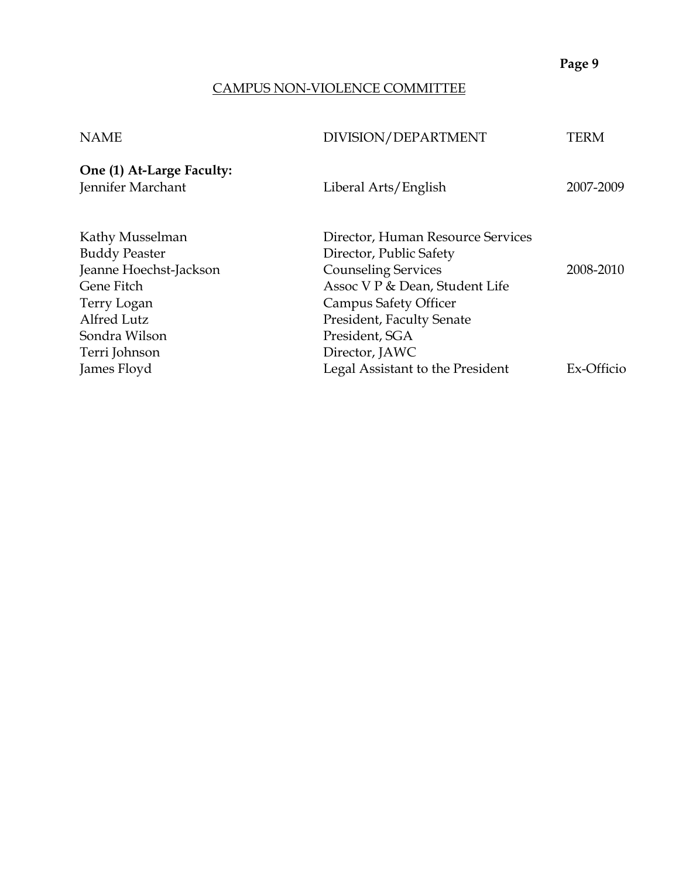### CAMPUS NON-VIOLENCE COMMITTEE

| DIVISION/DEPARTMENT               | TERM                                                                                                                    |
|-----------------------------------|-------------------------------------------------------------------------------------------------------------------------|
| Liberal Arts/English              | 2007-2009                                                                                                               |
| Director, Human Resource Services |                                                                                                                         |
|                                   | 2008-2010                                                                                                               |
|                                   |                                                                                                                         |
|                                   |                                                                                                                         |
| President, Faculty Senate         |                                                                                                                         |
| President, SGA                    |                                                                                                                         |
| Director, JAWC                    |                                                                                                                         |
| Legal Assistant to the President  | Ex-Officio                                                                                                              |
|                                   | Director, Public Safety<br><b>Counseling Services</b><br>Assoc V P & Dean, Student Life<br><b>Campus Safety Officer</b> |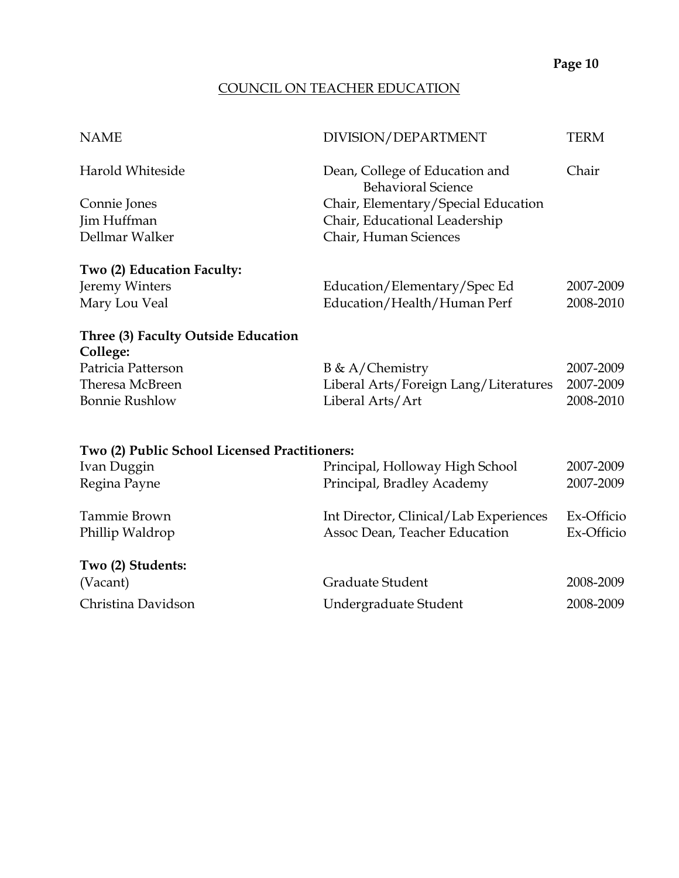## COUNCIL ON TEACHER EDUCATION

| <b>NAME</b>                                   | DIVISION/DEPARTMENT                                         | <b>TERM</b> |
|-----------------------------------------------|-------------------------------------------------------------|-------------|
| Harold Whiteside                              | Dean, College of Education and<br><b>Behavioral Science</b> | Chair       |
| Connie Jones                                  | Chair, Elementary/Special Education                         |             |
| Jim Huffman                                   | Chair, Educational Leadership                               |             |
| Dellmar Walker                                | Chair, Human Sciences                                       |             |
| Two (2) Education Faculty:                    |                                                             |             |
| Jeremy Winters                                | Education/Elementary/Spec Ed                                | 2007-2009   |
| Mary Lou Veal                                 | Education/Health/Human Perf                                 | 2008-2010   |
| Three (3) Faculty Outside Education           |                                                             |             |
| College:                                      |                                                             |             |
| Patricia Patterson                            | $B \& A/Chemistry$                                          | 2007-2009   |
| Theresa McBreen                               | Liberal Arts/Foreign Lang/Literatures                       | 2007-2009   |
| <b>Bonnie Rushlow</b>                         | Liberal Arts/Art                                            | 2008-2010   |
|                                               |                                                             |             |
| Two (2) Public School Licensed Practitioners: |                                                             |             |
| Ivan Duggin                                   | Principal, Holloway High School                             | 2007-2009   |
| Regina Payne                                  | Principal, Bradley Academy                                  | 2007-2009   |
| Tammie Brown                                  | Int Director, Clinical/Lab Experiences                      | Ex-Officio  |
| Phillip Waldrop                               | Assoc Dean, Teacher Education                               | Ex-Officio  |
| Two (2) Students:                             |                                                             |             |
| (Vacant)                                      | Graduate Student                                            | 2008-2009   |
| Christina Davidson                            | Undergraduate Student                                       | 2008-2009   |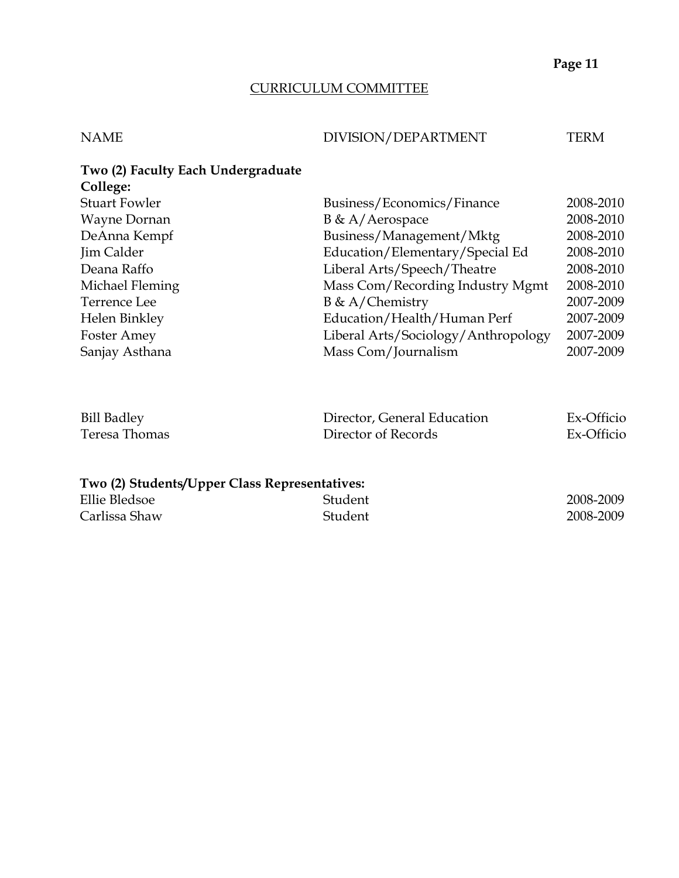## CURRICULUM COMMITTEE

# NAME DIVISION/DEPARTMENT TERM

| Two (2) Faculty Each Undergraduate<br>College: |                                     |           |
|------------------------------------------------|-------------------------------------|-----------|
| <b>Stuart Fowler</b>                           | Business/Economics/Finance          | 2008-2010 |
| Wayne Dornan                                   | $B \& A/Aerospace$                  | 2008-2010 |
| DeAnna Kempf                                   | Business/Management/Mktg            | 2008-2010 |
| Jim Calder                                     | Education/Elementary/Special Ed     | 2008-2010 |
| Deana Raffo                                    | Liberal Arts/Speech/Theatre         | 2008-2010 |
| Michael Fleming                                | Mass Com/Recording Industry Mgmt    | 2008-2010 |
| Terrence Lee                                   | $B \& A/Chemistry$                  | 2007-2009 |
| Helen Binkley                                  | Education/Health/Human Perf         | 2007-2009 |
| Foster Amey                                    | Liberal Arts/Sociology/Anthropology | 2007-2009 |
| Sanjay Asthana                                 | Mass Com/Journalism                 | 2007-2009 |

| <b>Bill Badley</b> | Director, General Education | Ex-Officio |
|--------------------|-----------------------------|------------|
| Teresa Thomas      | Director of Records         | Ex-Officio |

# **Two (2) Students/Upper Class Representatives:**

| Ellie Bledsoe | Student | 2008-2009 |
|---------------|---------|-----------|
| Carlissa Shaw | Student | 2008-2009 |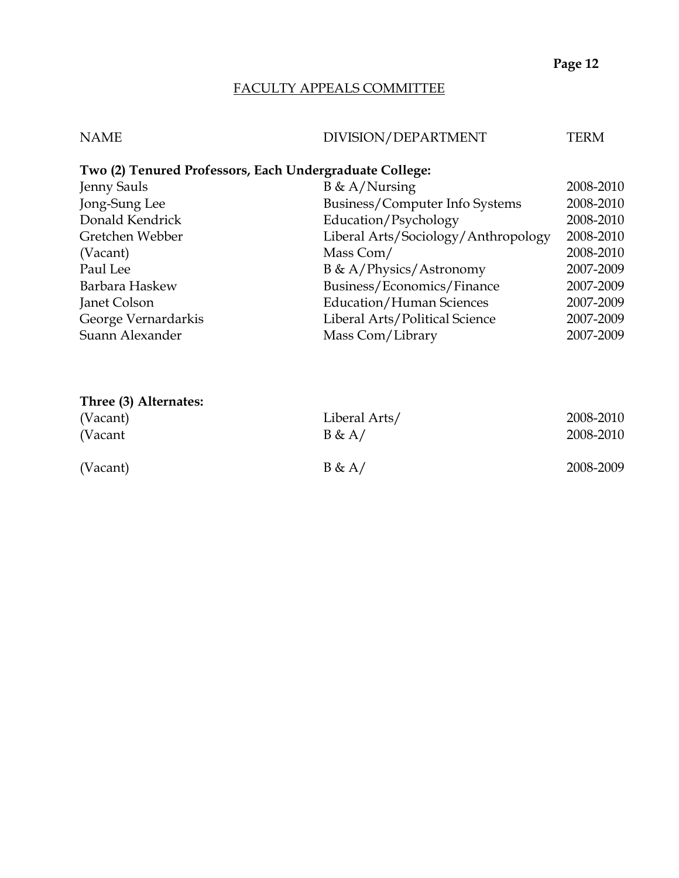#### FACULTY APPEALS COMMITTEE

| <b>NAME</b> | DIVISION/DEPARTMENT | TERM |
|-------------|---------------------|------|

## **Two (2) Tenured Professors, Each Undergraduate College:**

| Jenny Sauls         | $B \& A/Nursing$                    | 2008-2010 |
|---------------------|-------------------------------------|-----------|
| Jong-Sung Lee       | Business/Computer Info Systems      | 2008-2010 |
| Donald Kendrick     | Education/Psychology                | 2008-2010 |
| Gretchen Webber     | Liberal Arts/Sociology/Anthropology | 2008-2010 |
| (Vacant)            | Mass Com/                           | 2008-2010 |
| Paul Lee            | B & A/Physics/Astronomy             | 2007-2009 |
| Barbara Haskew      | Business/Economics/Finance          | 2007-2009 |
| Janet Colson        | <b>Education/Human Sciences</b>     | 2007-2009 |
| George Vernardarkis | Liberal Arts/Political Science      | 2007-2009 |
| Suann Alexander     | Mass Com/Library                    | 2007-2009 |

| Three (3) Alternates: |               |           |
|-----------------------|---------------|-----------|
| (Vacant)              | Liberal Arts/ | 2008-2010 |
| (Vacant               | B & A/        | 2008-2010 |
| (Vacant)              | B & A/        | 2008-2009 |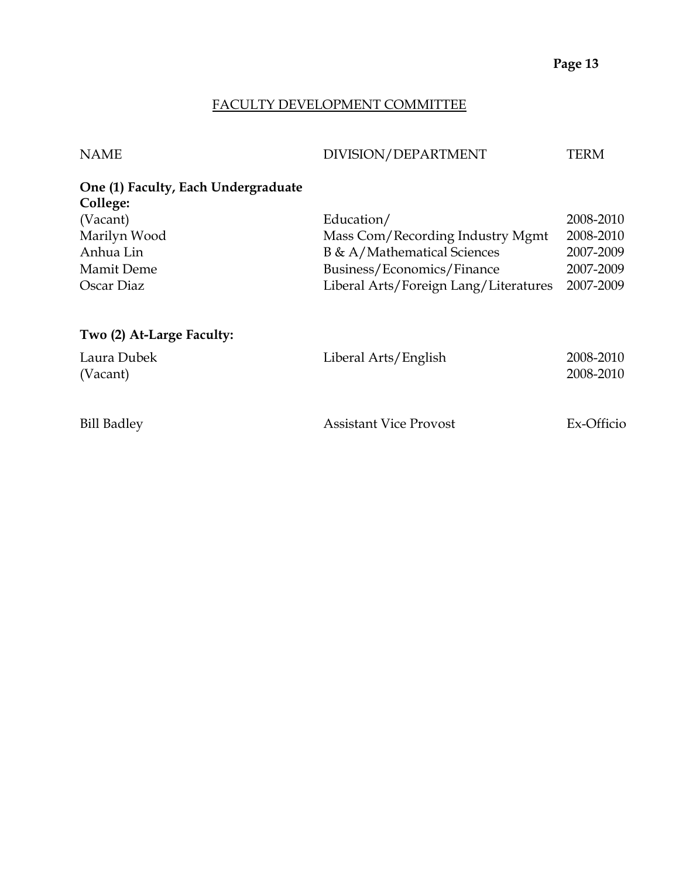#### FACULTY DEVELOPMENT COMMITTEE

| <b>NAME</b> | DIVISION/DEPARTMENT | TERN |
|-------------|---------------------|------|
|             |                     |      |

| One (1) Faculty, Each Undergraduate |                                  |           |
|-------------------------------------|----------------------------------|-----------|
| College:                            |                                  |           |
| (Vacant)                            | Education/                       | 2008-2010 |
| Marilyn Wood                        | Mass Com/Recording Industry Mgmt | 2008-2010 |
| Anhua Lin                           | B & A/Mathematical Sciences      | 2007-2009 |

| (Vacant)     | Education/                            | 2008-2010 |
|--------------|---------------------------------------|-----------|
| Marilyn Wood | Mass Com/Recording Industry Mgmt      | 2008-2010 |
| Anhua Lin    | B & A/Mathematical Sciences           | 2007-2009 |
| Mamit Deme   | Business/Economics/Finance            | 2007-2009 |
| Oscar Diaz   | Liberal Arts/Foreign Lang/Literatures | 2007-2009 |
|              |                                       |           |

# **Two (2) At-Large Faculty:**

| Laura Dubek<br>(Vacant) | Liberal Arts/English          | 2008-2010<br>2008-2010 |
|-------------------------|-------------------------------|------------------------|
| <b>Bill Badley</b>      | <b>Assistant Vice Provost</b> | Ex-Officio             |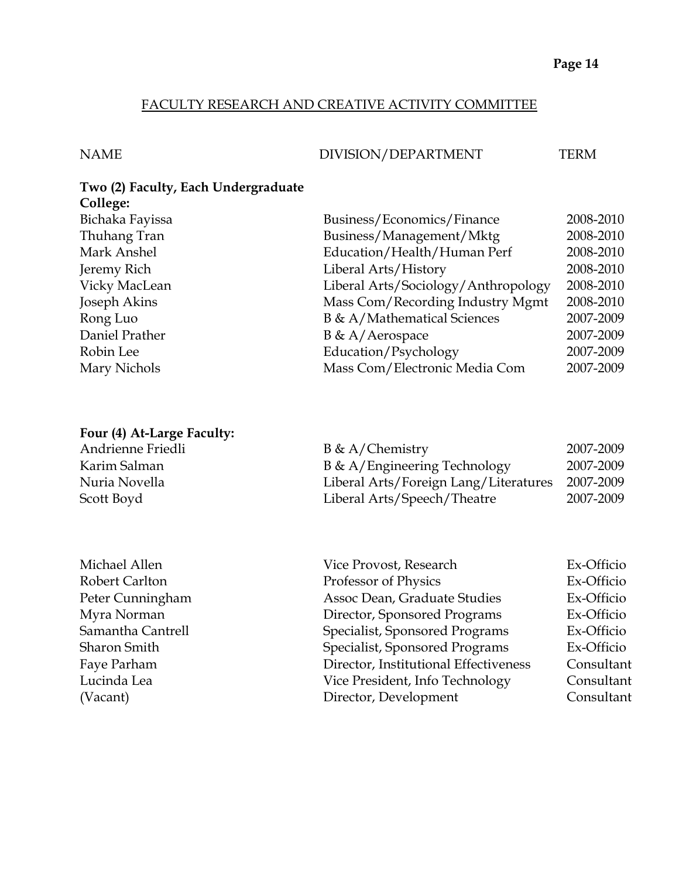#### FACULTY RESEARCH AND CREATIVE ACTIVITY COMMITTEE

#### NAME DIVISION/DEPARTMENT TERM

#### **Two (2) Faculty, Each Undergraduate College:**

| Bichaka Fayissa | Business/Economics/Finance          | 2008-2010 |
|-----------------|-------------------------------------|-----------|
| Thuhang Tran    | Business/Management/Mktg            | 2008-2010 |
| Mark Anshel     | Education/Health/Human Perf         | 2008-2010 |
| Jeremy Rich     | Liberal Arts/History                | 2008-2010 |
| Vicky MacLean   | Liberal Arts/Sociology/Anthropology | 2008-2010 |
| Joseph Akins    | Mass Com/Recording Industry Mgmt    | 2008-2010 |
| Rong Luo        | B & A/Mathematical Sciences         | 2007-2009 |
| Daniel Prather  | $B \& A/Aerospace$                  | 2007-2009 |
| Robin Lee       | Education/Psychology                | 2007-2009 |
| Mary Nichols    | Mass Com/Electronic Media Com       | 2007-2009 |
|                 |                                     |           |

#### **Four (4) At-Large Faculty:**

| Andrienne Friedli | $B \& A/Chemistry$                    | 2007-2009 |
|-------------------|---------------------------------------|-----------|
| Karim Salman      | B & A/Engineering Technology          | 2007-2009 |
| Nuria Novella     | Liberal Arts/Foreign Lang/Literatures | 2007-2009 |
| Scott Boyd        | Liberal Arts/Speech/Theatre           | 2007-2009 |

| Michael Allen       | Vice Provost, Research                | Ex-Officio |
|---------------------|---------------------------------------|------------|
| Robert Carlton      | Professor of Physics                  | Ex-Officio |
| Peter Cunningham    | Assoc Dean, Graduate Studies          | Ex-Officio |
| Myra Norman         | Director, Sponsored Programs          | Ex-Officio |
| Samantha Cantrell   | Specialist, Sponsored Programs        | Ex-Officio |
| <b>Sharon Smith</b> | Specialist, Sponsored Programs        | Ex-Officio |
| Faye Parham         | Director, Institutional Effectiveness | Consultant |
| Lucinda Lea         | Vice President, Info Technology       | Consultant |
| (Vacant)            | Director, Development                 | Consultant |
|                     |                                       |            |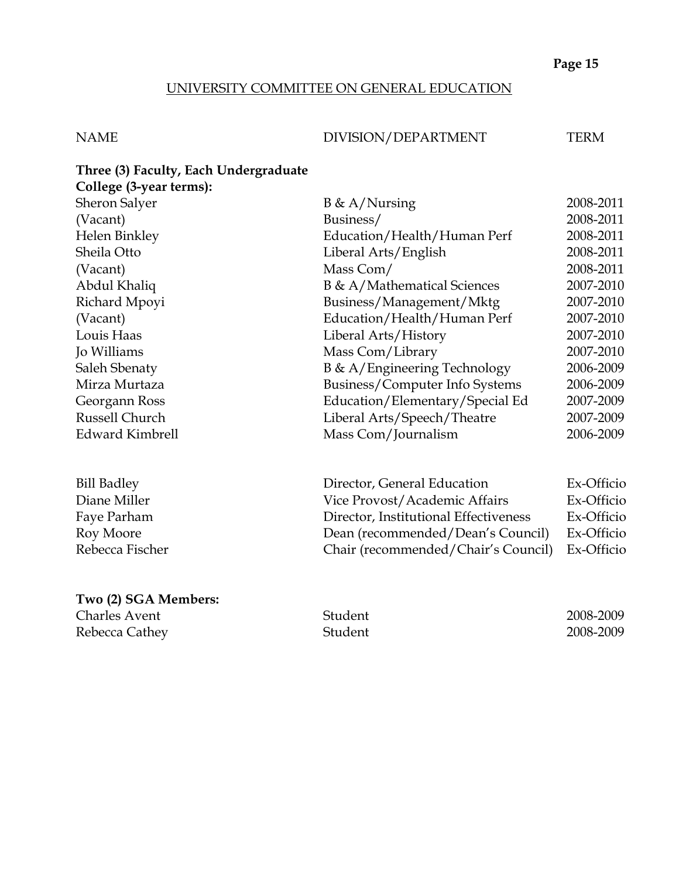### UNIVERSITY COMMITTEE ON GENERAL EDUCATION

#### NAME DIVISION/DEPARTMENT TERM

| Three (3) Faculty, Each Undergraduate |                                      |                          |
|---------------------------------------|--------------------------------------|--------------------------|
| College (3-year terms):               |                                      |                          |
| Sheron Salyer                         | $B \& A/Nursing$                     | 2008-2011                |
| (Vacant)                              | Business/                            | 2008-2011                |
| Helen Binkley                         | Education/Health/Human Perf          | 2008-2011                |
| Sheila Otto                           | Liberal Arts/English                 | 2008-2011                |
| (Vacant)                              | Mass Com/                            | 2008-2011                |
| Abdul Khaliq                          | B & A/Mathematical Sciences          | 2007-2010                |
| Richard Mpoyi                         | Business/Management/Mktg             | 2007-2010                |
| (Vacant)                              | Education/Health/Human Perf          | 2007-2010                |
| Louis Haas                            | Liberal Arts/History                 | 2007-2010                |
| Jo Williams                           | Mass Com/Library                     | 2007-2010                |
| Saleh Sbenaty                         | B & A/Engineering Technology         | 2006-2009                |
| Mirza Murtaza                         | Business/Computer Info Systems       | 2006-2009                |
| Georgann Ross                         | Education/Elementary/Special Ed      | 2007-2009                |
| Russell Church                        | Liberal Arts/Speech/Theatre          | 2007-2009                |
| Edward Kimbrell                       | Mass Com/Journalism                  | 2006-2009                |
| <b>Bill Badley</b>                    | Director, General Education          | Ex-Officio               |
| Diane Miller                          | Vice Provost/Academic Affairs        | Ex-Officio               |
| $E_{\alpha\nu\alpha}$ Darbam          | Director Institutional Effectiveness | $\Gamma_{\rm V}$ Officia |

| Diane Miller    | Vice Provost/Academic Affairs                  | Ex-Officio |
|-----------------|------------------------------------------------|------------|
| Faye Parham     | Director, Institutional Effectiveness          | Ex-Officio |
| Roy Moore       | Dean (recommended/Dean's Council)              | Ex-Officio |
| Rebecca Fischer | Chair (recommended/Chair's Council) Ex-Officio |            |
|                 |                                                |            |

#### **Two (2) SGA Members:**

Examples Avent 2008-2009<br>
Charles Avent 2008-2009<br>
Student 2008-2009<br>
2008-2009 Rebecca Cathey **2008-2009** Student 2008-2009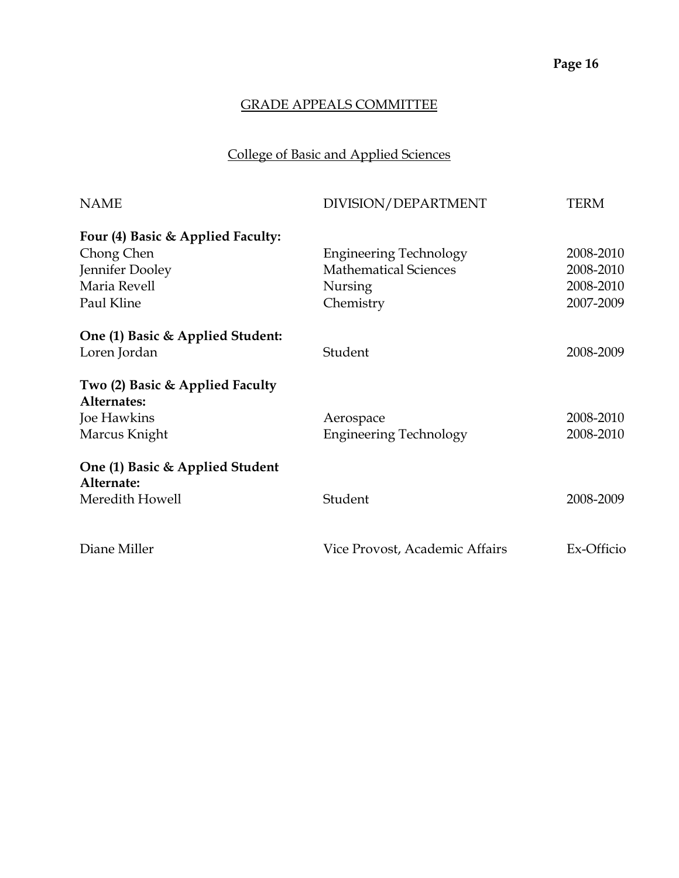# College of Basic and Applied Sciences

| <b>NAME</b>                                    | DIVISION/DEPARTMENT            | TERM       |
|------------------------------------------------|--------------------------------|------------|
| Four (4) Basic & Applied Faculty:              |                                |            |
| Chong Chen                                     | <b>Engineering Technology</b>  | 2008-2010  |
| Jennifer Dooley                                | <b>Mathematical Sciences</b>   | 2008-2010  |
| Maria Revell                                   | Nursing                        | 2008-2010  |
| Paul Kline                                     | Chemistry                      | 2007-2009  |
| One (1) Basic & Applied Student:               |                                |            |
| Loren Jordan                                   | Student                        | 2008-2009  |
| Two (2) Basic & Applied Faculty<br>Alternates: |                                |            |
| Joe Hawkins                                    | Aerospace                      | 2008-2010  |
| Marcus Knight                                  | <b>Engineering Technology</b>  | 2008-2010  |
| One (1) Basic & Applied Student<br>Alternate:  |                                |            |
| Meredith Howell                                | Student                        | 2008-2009  |
|                                                |                                |            |
| Diane Miller                                   | Vice Provost, Academic Affairs | Ex-Officio |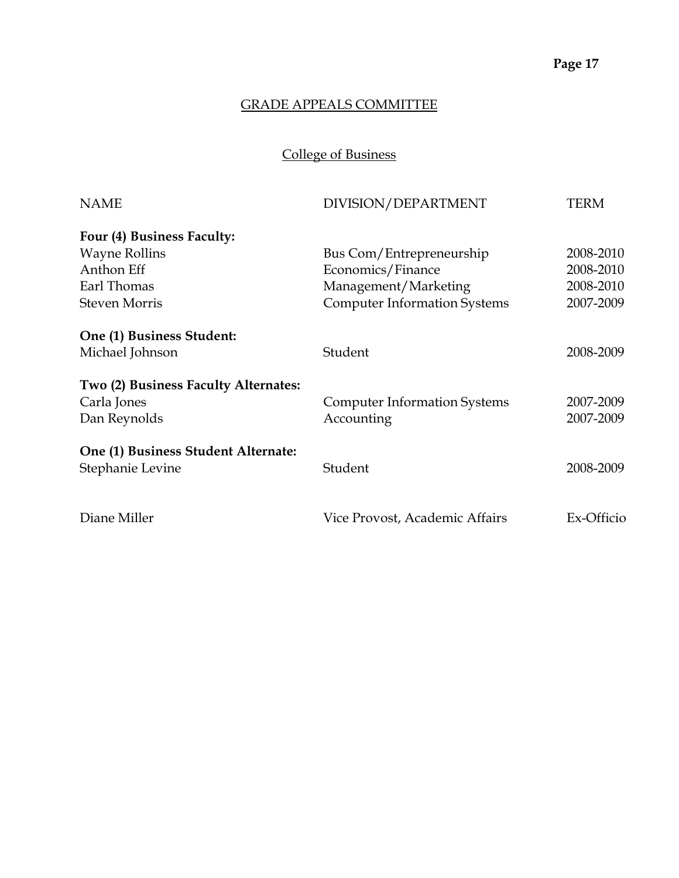College of Business

| <b>NAME</b>                          | DIVISION/DEPARTMENT                 | <b>TERM</b> |
|--------------------------------------|-------------------------------------|-------------|
| Four (4) Business Faculty:           |                                     |             |
| <b>Wayne Rollins</b>                 | Bus Com/Entrepreneurship            | 2008-2010   |
| Anthon Eff                           | Economics/Finance                   | 2008-2010   |
| Earl Thomas                          | Management/Marketing                | 2008-2010   |
| <b>Steven Morris</b>                 | <b>Computer Information Systems</b> | 2007-2009   |
| One (1) Business Student:            |                                     |             |
| Michael Johnson                      | Student                             | 2008-2009   |
| Two (2) Business Faculty Alternates: |                                     |             |
| Carla Jones                          | <b>Computer Information Systems</b> | 2007-2009   |
| Dan Reynolds                         | Accounting                          | 2007-2009   |
| One (1) Business Student Alternate:  |                                     |             |
| Stephanie Levine                     | Student                             | 2008-2009   |
| Diane Miller                         | Vice Provost, Academic Affairs      | Ex-Officio  |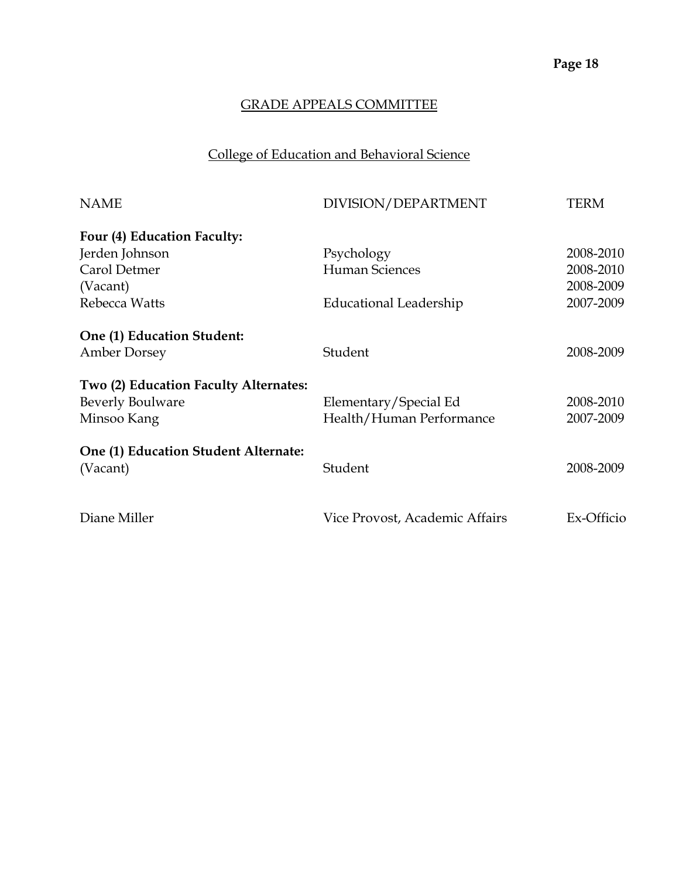# College of Education and Behavioral Science

| <b>NAME</b>                           | DIVISION/DEPARTMENT            | <b>TERM</b> |
|---------------------------------------|--------------------------------|-------------|
| Four (4) Education Faculty:           |                                |             |
| Jerden Johnson                        | Psychology                     | 2008-2010   |
| Carol Detmer                          | Human Sciences                 | 2008-2010   |
| (Vacant)                              |                                | 2008-2009   |
| Rebecca Watts                         | Educational Leadership         | 2007-2009   |
| One (1) Education Student:            |                                |             |
| <b>Amber Dorsey</b>                   | Student                        | 2008-2009   |
| Two (2) Education Faculty Alternates: |                                |             |
| <b>Beverly Boulware</b>               | Elementary/Special Ed          | 2008-2010   |
| Minsoo Kang                           | Health/Human Performance       | 2007-2009   |
| One (1) Education Student Alternate:  |                                |             |
| (Vacant)                              | Student                        | 2008-2009   |
| Diane Miller                          | Vice Provost, Academic Affairs | Ex-Officio  |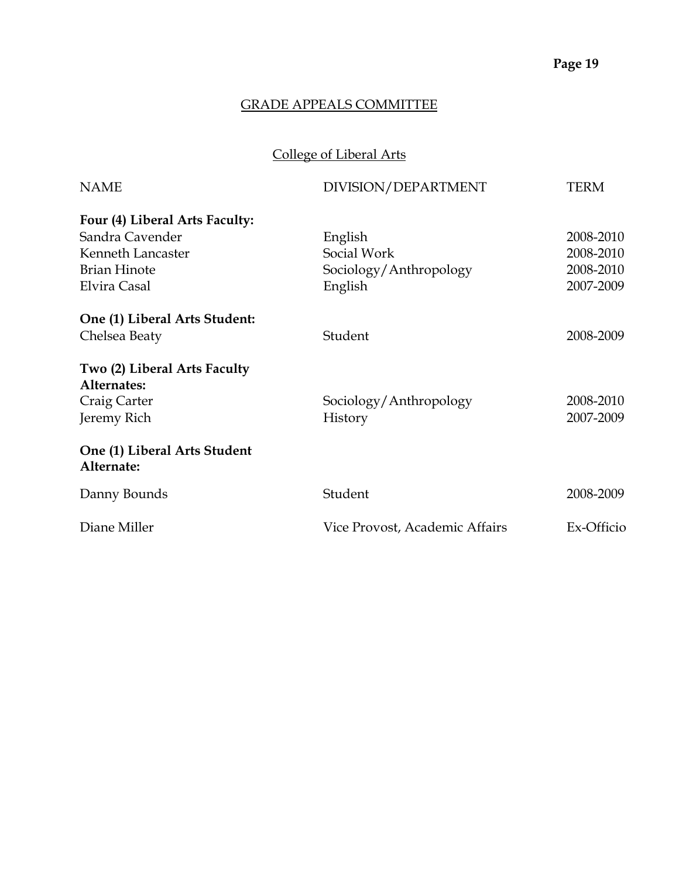# College of Liberal Arts

| <b>NAME</b>                                | DIVISION/DEPARTMENT            | <b>TERM</b> |
|--------------------------------------------|--------------------------------|-------------|
| Four (4) Liberal Arts Faculty:             |                                |             |
| Sandra Cavender                            | English                        | 2008-2010   |
| Kenneth Lancaster                          | Social Work                    | 2008-2010   |
| <b>Brian Hinote</b>                        | Sociology/Anthropology         | 2008-2010   |
| Elvira Casal                               | English                        | 2007-2009   |
| One (1) Liberal Arts Student:              |                                |             |
| Chelsea Beaty                              | Student                        | 2008-2009   |
| Two (2) Liberal Arts Faculty               |                                |             |
| Alternates:                                |                                |             |
| Craig Carter                               | Sociology/Anthropology         | 2008-2010   |
| Jeremy Rich                                | History                        | 2007-2009   |
| One (1) Liberal Arts Student<br>Alternate: |                                |             |
| Danny Bounds                               | Student                        | 2008-2009   |
| Diane Miller                               | Vice Provost, Academic Affairs | Ex-Officio  |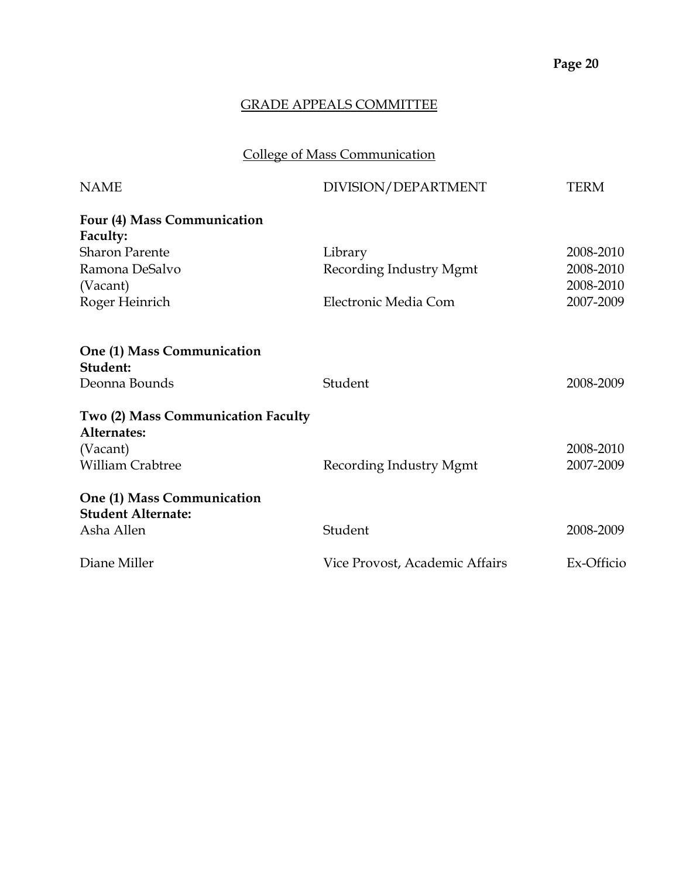# College of Mass Communication

| <b>NAME</b>                                             | DIVISION/DEPARTMENT            | <b>TERM</b> |
|---------------------------------------------------------|--------------------------------|-------------|
| Four (4) Mass Communication<br>Faculty:                 |                                |             |
| <b>Sharon Parente</b>                                   | Library                        | 2008-2010   |
| Ramona DeSalvo                                          | Recording Industry Mgmt        | 2008-2010   |
| (Vacant)                                                |                                | 2008-2010   |
| Roger Heinrich                                          | Electronic Media Com           | 2007-2009   |
|                                                         |                                |             |
| One (1) Mass Communication<br>Student:                  |                                |             |
| Deonna Bounds                                           | Student                        | 2008-2009   |
| Two (2) Mass Communication Faculty<br>Alternates:       |                                |             |
| (Vacant)                                                |                                | 2008-2010   |
| <b>William Crabtree</b>                                 | Recording Industry Mgmt        | 2007-2009   |
| One (1) Mass Communication<br><b>Student Alternate:</b> |                                |             |
| Asha Allen                                              | Student                        | 2008-2009   |
| Diane Miller                                            | Vice Provost, Academic Affairs | Ex-Officio  |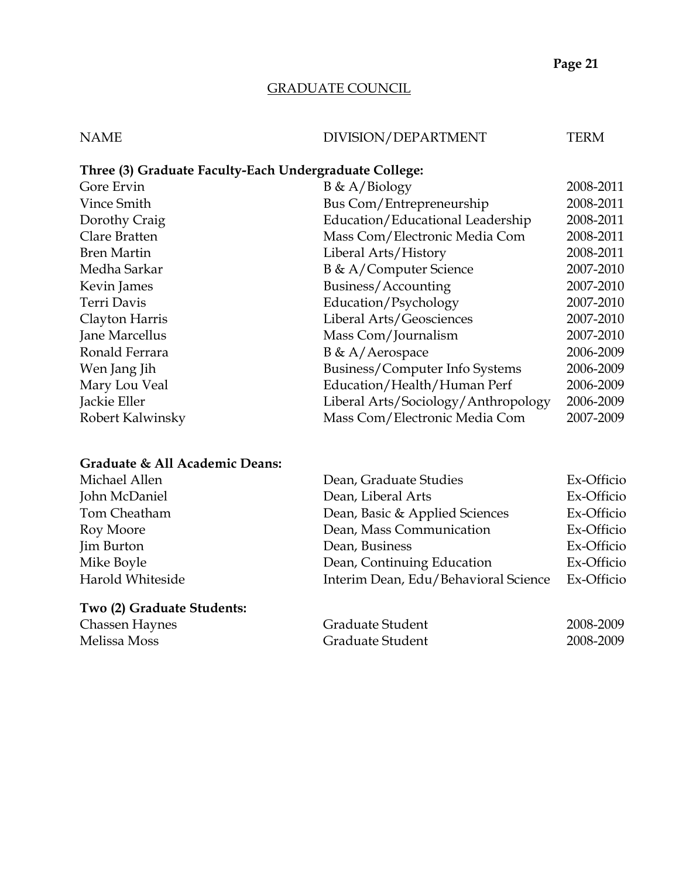### GRADUATE COUNCIL

#### NAME DIVISION/DEPARTMENT TERM

### **Three (3) Graduate Faculty-Each Undergraduate College:**

| Gore Ervin         | $B \& A/Biology$                    | 2008-2011 |
|--------------------|-------------------------------------|-----------|
| Vince Smith        | Bus Com/Entrepreneurship            | 2008-2011 |
| Dorothy Craig      | Education/Educational Leadership    | 2008-2011 |
| Clare Bratten      | Mass Com/Electronic Media Com       | 2008-2011 |
| <b>Bren Martin</b> | Liberal Arts/History                | 2008-2011 |
| Medha Sarkar       | B & A/Computer Science              | 2007-2010 |
| Kevin James        | Business/Accounting                 | 2007-2010 |
| Terri Davis        | Education/Psychology                | 2007-2010 |
| Clayton Harris     | Liberal Arts/Geosciences            | 2007-2010 |
| Jane Marcellus     | Mass Com/Journalism                 | 2007-2010 |
| Ronald Ferrara     | B & A/Aerospace                     | 2006-2009 |
| Wen Jang Jih       | Business/Computer Info Systems      | 2006-2009 |
| Mary Lou Veal      | Education/Health/Human Perf         | 2006-2009 |
| Jackie Eller       | Liberal Arts/Sociology/Anthropology | 2006-2009 |
| Robert Kalwinsky   | Mass Com/Electronic Media Com       | 2007-2009 |
|                    |                                     |           |

#### **Graduate & All Academic Deans:**

| Michael Allen    | Dean, Graduate Studies               | Ex-Officio |
|------------------|--------------------------------------|------------|
| John McDaniel    | Dean, Liberal Arts                   | Ex-Officio |
| Tom Cheatham     | Dean, Basic & Applied Sciences       | Ex-Officio |
| Roy Moore        | Dean, Mass Communication             | Ex-Officio |
| Jim Burton       | Dean, Business                       | Ex-Officio |
| Mike Boyle       | Dean, Continuing Education           | Ex-Officio |
| Harold Whiteside | Interim Dean, Edu/Behavioral Science | Ex-Officio |

#### **Two (2) Graduate Students:**

Chassen Haynes **Graduate Student** 2008-2009 Melissa Moss Graduate Student 2008-2009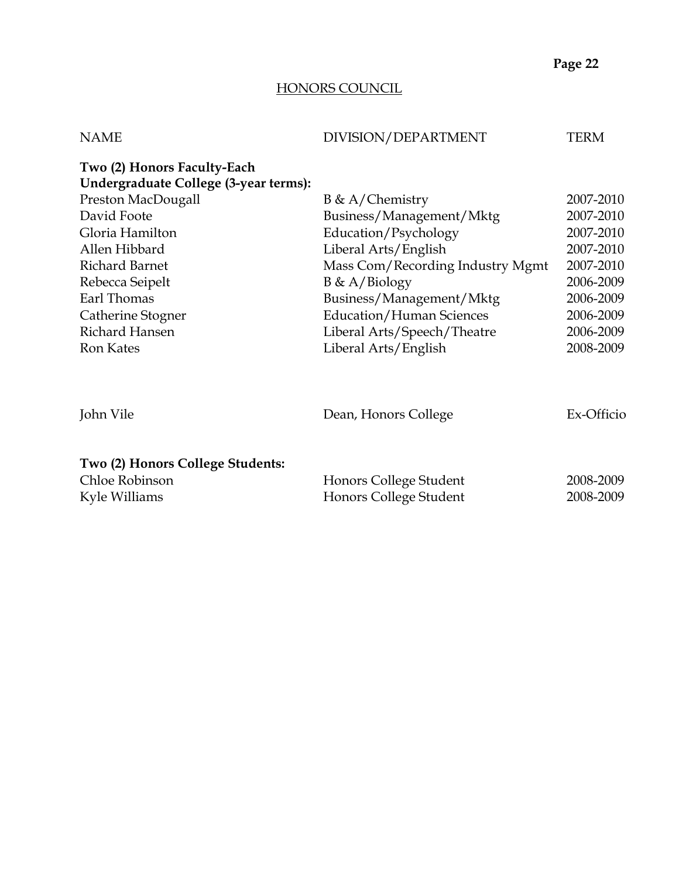## HONORS COUNCIL

| <b>NAME</b>                                                         | DIVISION/DEPARTMENT                              | <b>TERM</b>            |
|---------------------------------------------------------------------|--------------------------------------------------|------------------------|
| Two (2) Honors Faculty-Each                                         |                                                  |                        |
| Undergraduate College (3-year terms):                               |                                                  |                        |
| Preston MacDougall                                                  | $B \& A/Chemistry$                               | 2007-2010              |
| David Foote                                                         | Business/Management/Mktg                         | 2007-2010              |
| Gloria Hamilton                                                     | Education/Psychology                             | 2007-2010              |
| Allen Hibbard                                                       | Liberal Arts/English                             | 2007-2010              |
| <b>Richard Barnet</b>                                               | Mass Com/Recording Industry Mgmt                 | 2007-2010              |
| Rebecca Seipelt                                                     | $B \& A/Biology$                                 | 2006-2009              |
| Earl Thomas                                                         | Business/Management/Mktg                         | 2006-2009              |
| Catherine Stogner                                                   | <b>Education/Human Sciences</b>                  | 2006-2009              |
| Richard Hansen                                                      | Liberal Arts/Speech/Theatre                      | 2006-2009              |
| <b>Ron Kates</b>                                                    | Liberal Arts/English                             | 2008-2009              |
| John Vile                                                           | Dean, Honors College                             | Ex-Officio             |
| Two (2) Honors College Students:<br>Chloe Robinson<br>Kyle Williams | Honors College Student<br>Honors College Student | 2008-2009<br>2008-2009 |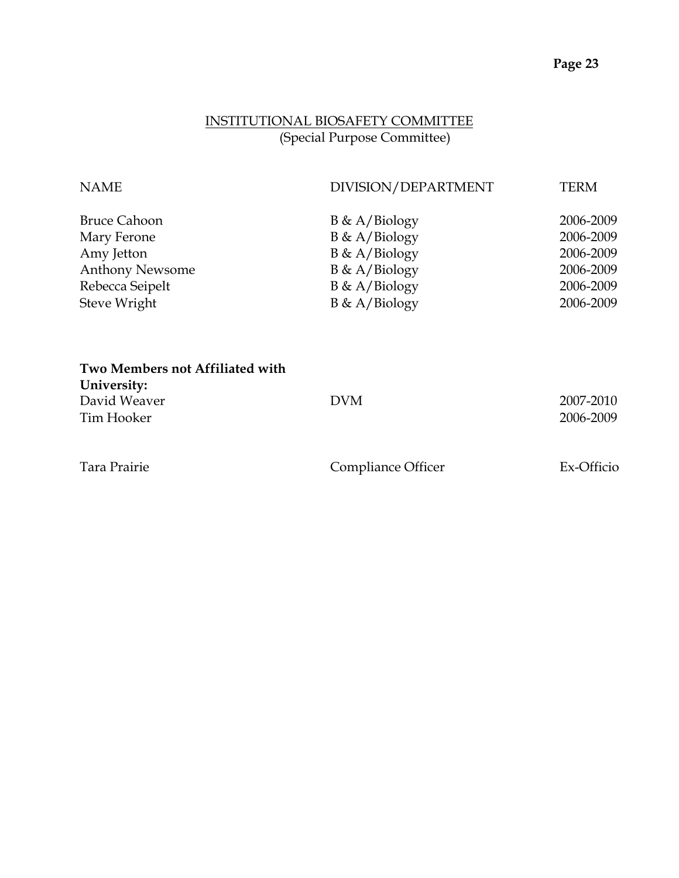## INSTITUTIONAL BIOSAFETY COMMITTEE (Special Purpose Committee)

| <b>NAME</b>                     | DIVISION/DEPARTMENT | <b>TERM</b> |
|---------------------------------|---------------------|-------------|
| <b>Bruce Cahoon</b>             | $B \& A/Biology$    | 2006-2009   |
| Mary Ferone                     | $B \& A/Biology$    | 2006-2009   |
| Amy Jetton                      | $B \& A/Biology$    | 2006-2009   |
| <b>Anthony Newsome</b>          | $B \& A/Biology$    | 2006-2009   |
| Rebecca Seipelt                 | $B \& A/Biology$    | 2006-2009   |
| Steve Wright                    | $B \& A/Biology$    | 2006-2009   |
| Two Members not Affiliated with |                     |             |
| University:                     |                     |             |
| David Weaver                    | <b>DVM</b>          | 2007-2010   |
| Tim Hooker                      |                     | 2006-2009   |

| Tara Prairie | Compliance Officer | Ex-Officio |
|--------------|--------------------|------------|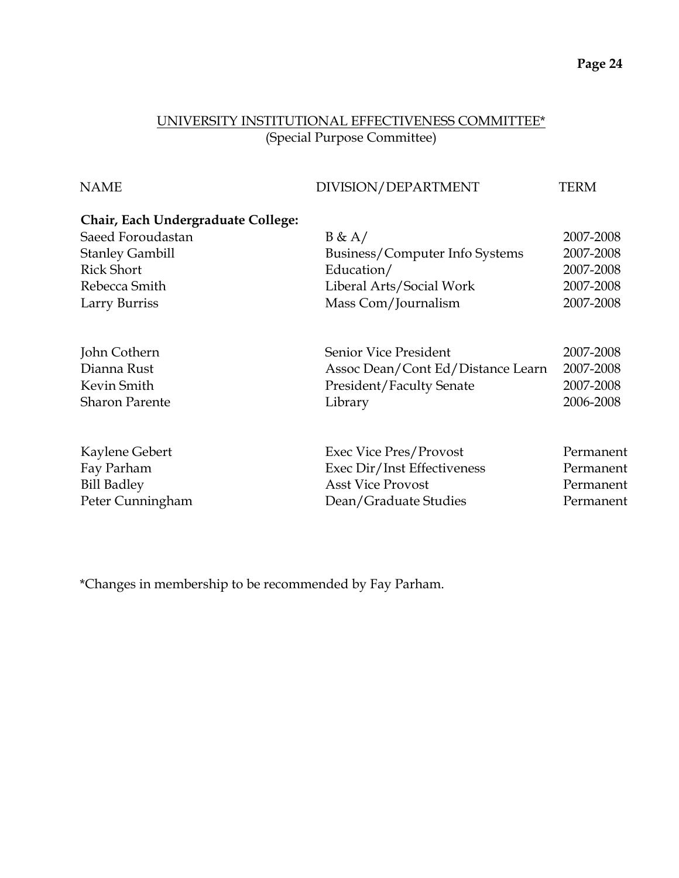# UNIVERSITY INSTITUTIONAL EFFECTIVENESS COMMITTEE\* (Special Purpose Committee)

| DIVISION/DEPARTMENT               | <b>TERM</b> |
|-----------------------------------|-------------|
|                                   |             |
| B & A/                            | 2007-2008   |
| Business/Computer Info Systems    | 2007-2008   |
| Education/                        | 2007-2008   |
| Liberal Arts/Social Work          | 2007-2008   |
| Mass Com/Journalism               | 2007-2008   |
| Senior Vice President             | 2007-2008   |
| Assoc Dean/Cont Ed/Distance Learn | 2007-2008   |
| <b>President/Faculty Senate</b>   | 2007-2008   |
| Library                           | 2006-2008   |
| Exec Vice Pres/Provost            | Permanent   |
| Exec Dir/Inst Effectiveness       | Permanent   |
| <b>Asst Vice Provost</b>          | Permanent   |
| Dean/Graduate Studies             | Permanent   |
|                                   |             |

\*Changes in membership to be recommended by Fay Parham.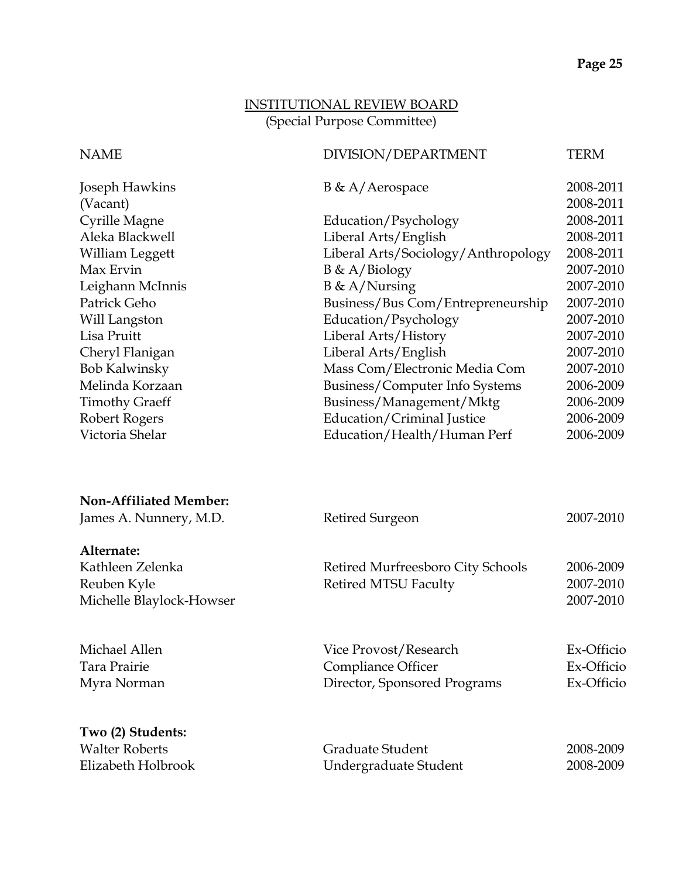### INSTITUTIONAL REVIEW BOARD (Special Purpose Committee)

# NAME DIVISION/DEPARTMENT TERM  $\frac{1}{R}$   $\frac{1}{R}$   $\frac{1}{R}$   $\frac{1}{R}$   $\frac{1}{R}$   $\frac{1}{R}$   $\frac{1}{R}$

| Joseph Hawkins        | $B \& A/Aerospace$                  | 2008-2011 |
|-----------------------|-------------------------------------|-----------|
| (Vacant)              |                                     | 2008-2011 |
| <b>Cyrille Magne</b>  | Education/Psychology                | 2008-2011 |
| Aleka Blackwell       | Liberal Arts/English                | 2008-2011 |
| William Leggett       | Liberal Arts/Sociology/Anthropology | 2008-2011 |
| Max Ervin             | $B \& A/Biology$                    | 2007-2010 |
| Leighann McInnis      | $B \& A/Nursing$                    | 2007-2010 |
| Patrick Geho          | Business/Bus Com/Entrepreneurship   | 2007-2010 |
| Will Langston         | Education/Psychology                | 2007-2010 |
| Lisa Pruitt           | Liberal Arts/History                | 2007-2010 |
| Cheryl Flanigan       | Liberal Arts/English                | 2007-2010 |
| <b>Bob Kalwinsky</b>  | Mass Com/Electronic Media Com       | 2007-2010 |
| Melinda Korzaan       | Business/Computer Info Systems      | 2006-2009 |
| <b>Timothy Graeff</b> | Business/Management/Mktg            | 2006-2009 |
| Robert Rogers         | <b>Education/Criminal Justice</b>   | 2006-2009 |
| Victoria Shelar       | Education/Health/Human Perf         | 2006-2009 |
|                       |                                     |           |

| Retired Surgeon                                                             | 2007-2010                              |
|-----------------------------------------------------------------------------|----------------------------------------|
|                                                                             |                                        |
| Retired Murfreesboro City Schools                                           | 2006-2009                              |
| <b>Retired MTSU Faculty</b>                                                 | 2007-2010                              |
|                                                                             | 2007-2010                              |
| Vice Provost/Research<br>Compliance Officer<br>Director, Sponsored Programs | Ex-Officio<br>Ex-Officio<br>Ex-Officio |
| Graduate Student<br>Undergraduate Student                                   | 2008-2009<br>2008-2009                 |
|                                                                             |                                        |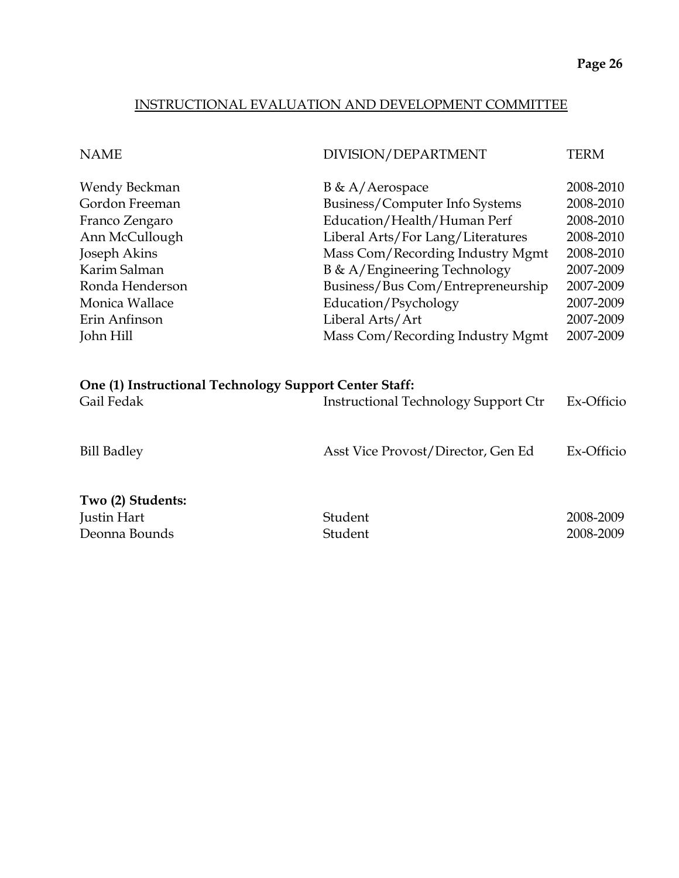#### INSTRUCTIONAL EVALUATION AND DEVELOPMENT COMMITTEE

| <b>NAME</b>                                                                                                                                                            | DIVISION/DEPARTMENT                                                                                                                                                                                                                                                                                               | <b>TERM</b>                                                                                                                    |
|------------------------------------------------------------------------------------------------------------------------------------------------------------------------|-------------------------------------------------------------------------------------------------------------------------------------------------------------------------------------------------------------------------------------------------------------------------------------------------------------------|--------------------------------------------------------------------------------------------------------------------------------|
| Wendy Beckman<br>Gordon Freeman<br>Franco Zengaro<br>Ann McCullough<br>Joseph Akins<br>Karim Salman<br>Ronda Henderson<br>Monica Wallace<br>Erin Anfinson<br>John Hill | $B \& A/Aerospace$<br>Business/Computer Info Systems<br>Education/Health/Human Perf<br>Liberal Arts/For Lang/Literatures<br>Mass Com/Recording Industry Mgmt<br>B & A/Engineering Technology<br>Business/Bus Com/Entrepreneurship<br>Education/Psychology<br>Liberal Arts/Art<br>Mass Com/Recording Industry Mgmt | 2008-2010<br>2008-2010<br>2008-2010<br>2008-2010<br>2008-2010<br>2007-2009<br>2007-2009<br>2007-2009<br>2007-2009<br>2007-2009 |
| One (1) Instructional Technology Support Center Staff:<br>Gail Fedak                                                                                                   | <b>Instructional Technology Support Ctr</b>                                                                                                                                                                                                                                                                       | Ex-Officio                                                                                                                     |
| <b>Bill Badley</b>                                                                                                                                                     | Asst Vice Provost/Director, Gen Ed                                                                                                                                                                                                                                                                                | Ex-Officio                                                                                                                     |
| Two (2) Students:<br>Justin Hart<br>Deonna Bounds                                                                                                                      | Student<br>Student                                                                                                                                                                                                                                                                                                | 2008-2009<br>2008-2009                                                                                                         |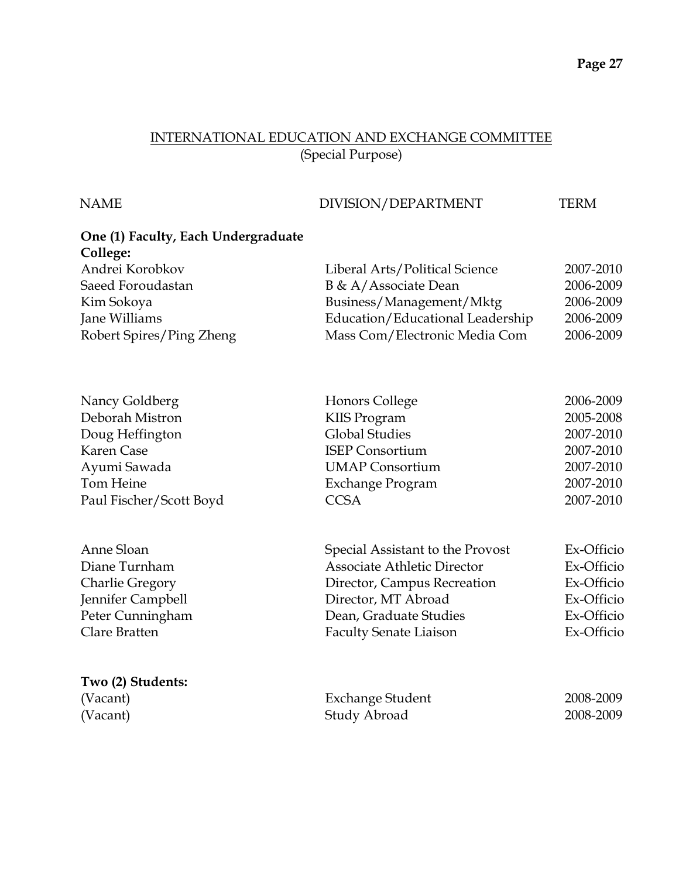#### INTERNATIONAL EDUCATION AND EXCHANGE COMMITTEE (Special Purpose)

#### NAME DIVISION/DEPARTMENT TERM

# **One (1) Faculty, Each Undergraduate College:** Andrei Korobkov Liberal Arts/Political Science 2007-2010 Saeed Foroudastan B & A/Associate Dean 2006-2009 Kim Sokoya Business/Management/Mktg 2006-2009 Jane Williams Education/Educational Leadership 2006-2009 Robert Spires/Ping Zheng Mass Com/Electronic Media Com 2006-2009 Nancy Goldberg **Honors College** 2006-2009 Deborah Mistron KIIS Program 2005-2008 Doug Heffington Global Studies 2007-2010 Karen Case ISEP Consortium 2007-2010 Ayumi Sawada UMAP Consortium 2007-2010 Tom Heine Exchange Program 2007-2010 Paul Fischer/Scott Boyd CCSA 2007-2010 Anne Sloan Special Assistant to the Provost Ex-Officio Diane Turnham Associate Athletic Director Ex-Officio Charlie Gregory Director, Campus Recreation Ex-Officio Jennifer Campbell Director, MT Abroad Ex-Officio Peter Cunningham Dean, Graduate Studies Ex-Officio Clare Bratten Faculty Senate Liaison Ex-Officio **Two (2) Students:** (Vacant) Exchange Student 2008-2009 (Vacant) Study Abroad 2008-2009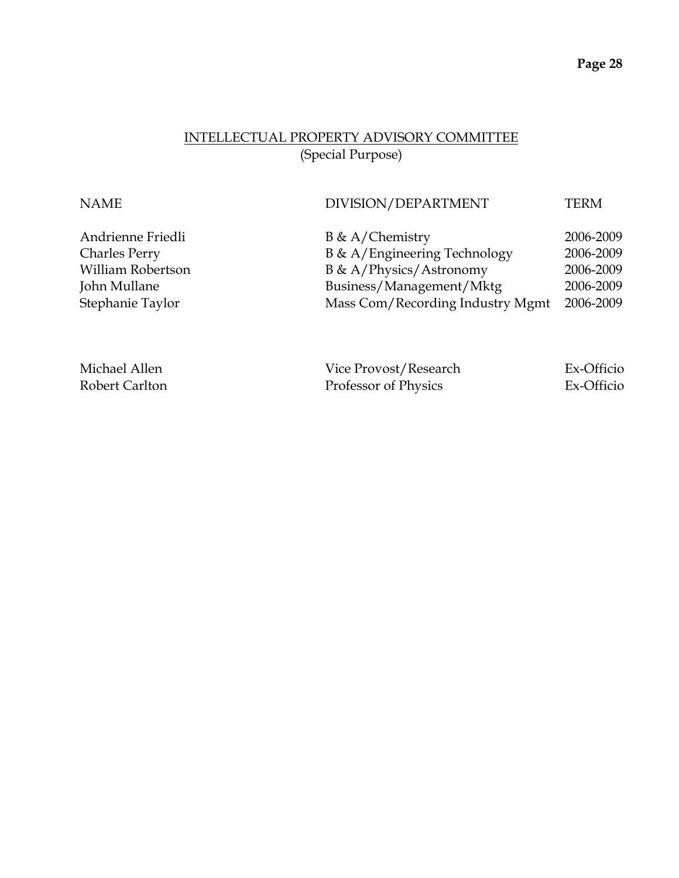#### INTELLECTUAL PROPERTY ADVISORY COMMITTEE (Special Purpose)

| <b>NAME</b>          | DIVISION/DEPARTMENT              | <b>TERM</b> |
|----------------------|----------------------------------|-------------|
| Andrienne Friedli    | $B \& A/C$ hemistry              | 2006-2009   |
| <b>Charles Perry</b> | B & A/Engineering Technology     | 2006-2009   |
| William Robertson    | B & A/Physics/Astronomy          | 2006-2009   |
| John Mullane         | Business/Management/Mktg         | 2006-2009   |
| Stephanie Taylor     | Mass Com/Recording Industry Mgmt | 2006-2009   |
|                      |                                  |             |
|                      |                                  |             |
|                      |                                  |             |

| Michael Allen  | Vice Provost/Research | Ex-Officio |
|----------------|-----------------------|------------|
| Robert Carlton | Professor of Physics  | Ex-Officio |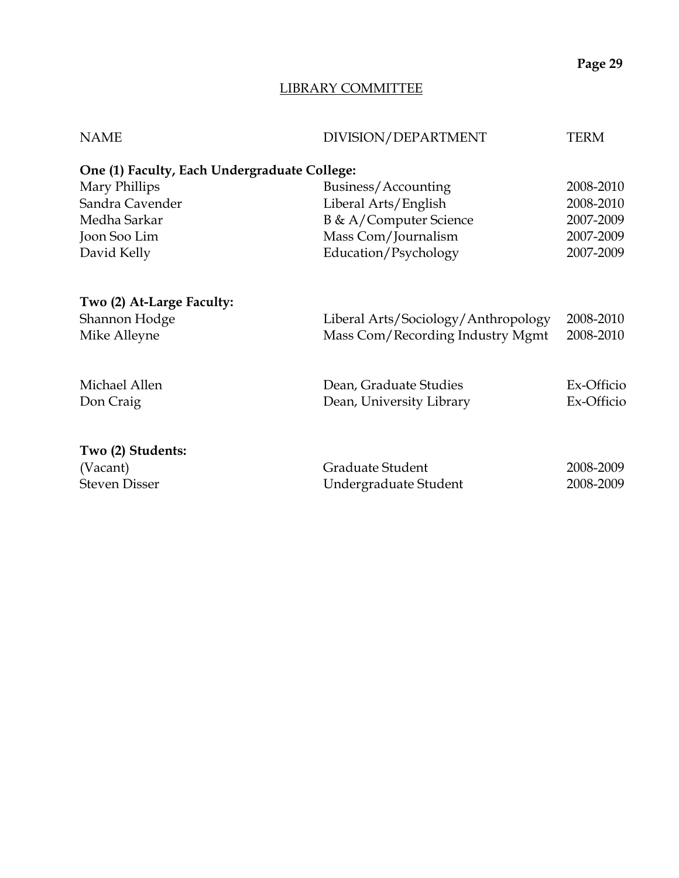## LIBRARY COMMITTEE

| <b>NAME</b>                                  | DIVISION/DEPARTMENT                 | <b>TERM</b> |
|----------------------------------------------|-------------------------------------|-------------|
| One (1) Faculty, Each Undergraduate College: |                                     |             |
| Mary Phillips                                | Business/Accounting                 | 2008-2010   |
| Sandra Cavender                              | Liberal Arts/English                | 2008-2010   |
| Medha Sarkar                                 | B & A/Computer Science              | 2007-2009   |
| Joon Soo Lim                                 | Mass Com/Journalism                 | 2007-2009   |
| David Kelly                                  | Education/Psychology                | 2007-2009   |
| Two (2) At-Large Faculty:                    |                                     |             |
| Shannon Hodge                                | Liberal Arts/Sociology/Anthropology | 2008-2010   |
| Mike Alleyne                                 | Mass Com/Recording Industry Mgmt    | 2008-2010   |
| Michael Allen                                | Dean, Graduate Studies              | Ex-Officio  |
| Don Craig                                    | Dean, University Library            | Ex-Officio  |
| Two (2) Students:                            |                                     |             |
| (Vacant)                                     | Graduate Student                    | 2008-2009   |
| <b>Steven Disser</b>                         | Undergraduate Student               | 2008-2009   |
|                                              |                                     |             |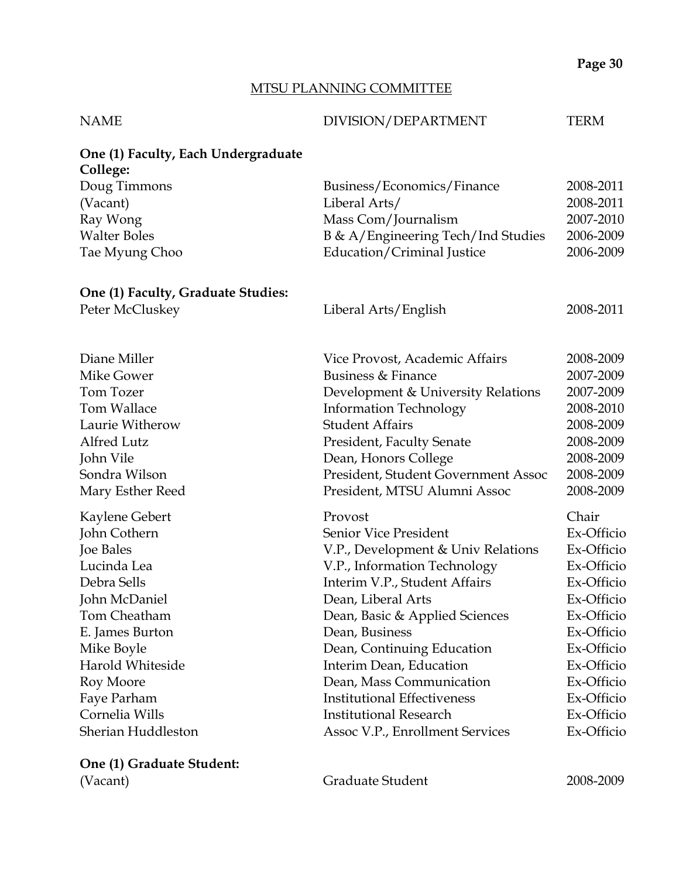# MTSU PLANNING COMMITTEE

| <b>NAME</b>                         | DIVISION/DEPARTMENT                  | <b>TERM</b>            |
|-------------------------------------|--------------------------------------|------------------------|
| One (1) Faculty, Each Undergraduate |                                      |                        |
| College:                            |                                      |                        |
| Doug Timmons                        | Business/Economics/Finance           | 2008-2011<br>2008-2011 |
| (Vacant)<br>Ray Wong                | Liberal Arts/<br>Mass Com/Journalism | 2007-2010              |
| <b>Walter Boles</b>                 | B & A/Engineering Tech/Ind Studies   | 2006-2009              |
| Tae Myung Choo                      | Education/Criminal Justice           | 2006-2009              |
| One (1) Faculty, Graduate Studies:  |                                      |                        |
| Peter McCluskey                     | Liberal Arts/English                 | 2008-2011              |
| Diane Miller                        | Vice Provost, Academic Affairs       | 2008-2009              |
| Mike Gower                          | Business & Finance                   | 2007-2009              |
| Tom Tozer                           | Development & University Relations   | 2007-2009              |
| Tom Wallace                         | <b>Information Technology</b>        | 2008-2010              |
| Laurie Witherow                     | <b>Student Affairs</b>               | 2008-2009              |
| Alfred Lutz                         | President, Faculty Senate            | 2008-2009              |
| John Vile                           | Dean, Honors College                 | 2008-2009              |
| Sondra Wilson                       | President, Student Government Assoc  | 2008-2009              |
| Mary Esther Reed                    | President, MTSU Alumni Assoc         | 2008-2009              |
| Kaylene Gebert                      | Provost                              | Chair                  |
| John Cothern                        | Senior Vice President                | Ex-Officio             |
| Joe Bales                           | V.P., Development & Univ Relations   | Ex-Officio             |
| Lucinda Lea                         | V.P., Information Technology         | Ex-Officio             |
| Debra Sells                         | Interim V.P., Student Affairs        | Ex-Officio             |
| John McDaniel                       | Dean, Liberal Arts                   | Ex-Officio             |
| Tom Cheatham                        | Dean, Basic & Applied Sciences       | Ex-Officio             |
| E. James Burton                     | Dean, Business                       | Ex-Officio             |
| Mike Boyle                          | Dean, Continuing Education           | Ex-Officio             |
| Harold Whiteside                    | Interim Dean, Education              | Ex-Officio             |
| Roy Moore                           | Dean, Mass Communication             | Ex-Officio             |
| Faye Parham                         | <b>Institutional Effectiveness</b>   | Ex-Officio             |
| Cornelia Wills                      | <b>Institutional Research</b>        | Ex-Officio             |
| Sherian Huddleston                  | Assoc V.P., Enrollment Services      | Ex-Officio             |
| One (1) Graduate Student:           |                                      |                        |

(Vacant) Graduate Student 2008-2009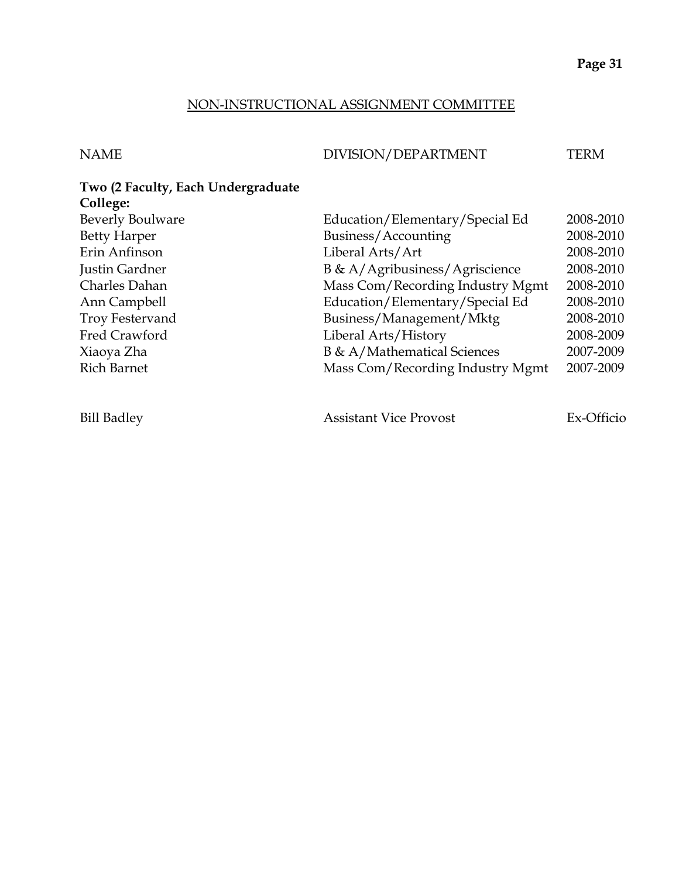#### NON-INSTRUCTIONAL ASSIGNMENT COMMITTEE

NAME DIVISION/DEPARTMENT TERM

# **Two (2 Faculty, Each Undergraduate College:**

| <b>Beverly Boulware</b> | Education/Elementary/Special Ed  | 2008-2010  |
|-------------------------|----------------------------------|------------|
| <b>Betty Harper</b>     | Business/Accounting              | 2008-2010  |
| Erin Anfinson           | Liberal Arts/Art                 | 2008-2010  |
| Justin Gardner          | B & A/Agribusiness/Agriscience   | 2008-2010  |
| Charles Dahan           | Mass Com/Recording Industry Mgmt | 2008-2010  |
| Ann Campbell            | Education/Elementary/Special Ed  | 2008-2010  |
| <b>Troy Festervand</b>  | Business/Management/Mktg         | 2008-2010  |
| Fred Crawford           | Liberal Arts/History             | 2008-2009  |
| Xiaoya Zha              | B & A/Mathematical Sciences      | 2007-2009  |
| <b>Rich Barnet</b>      | Mass Com/Recording Industry Mgmt | 2007-2009  |
|                         |                                  |            |
| <b>Bill Badley</b>      | <b>Assistant Vice Provost</b>    | Ex-Officio |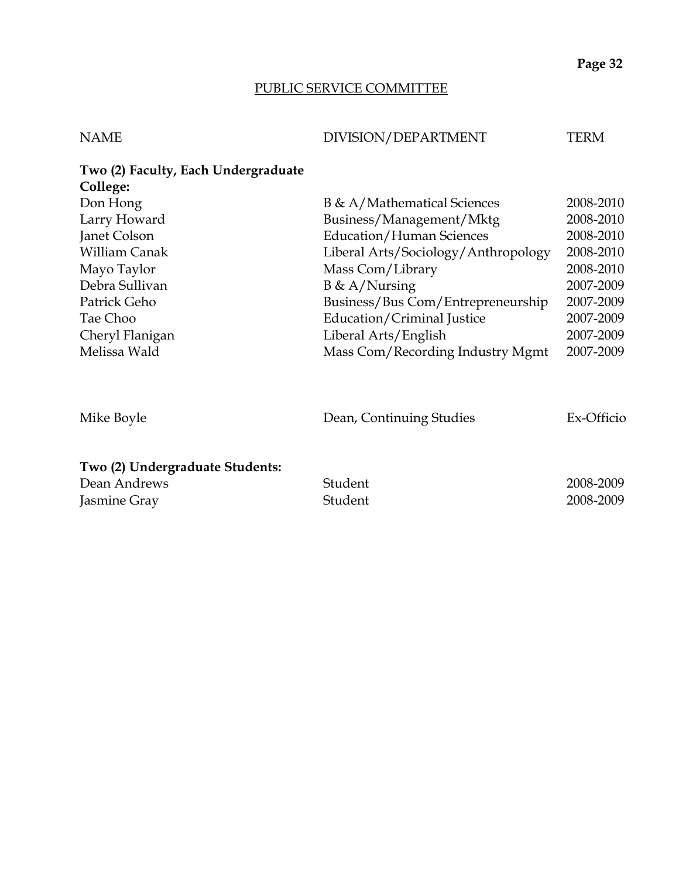## PUBLIC SERVICE COMMITTEE

| NAME | DIVISION/DEPARTMENT | TERM |
|------|---------------------|------|
|      |                     |      |

| Two (2) Faculty, Each Undergraduate |                                     |           |
|-------------------------------------|-------------------------------------|-----------|
| College:                            |                                     |           |
| Don Hong                            | B & A/Mathematical Sciences         | 2008-2010 |
| Larry Howard                        | Business/Management/Mktg            | 2008-2010 |
| Janet Colson                        | <b>Education/Human Sciences</b>     | 2008-2010 |
| <b>William Canak</b>                | Liberal Arts/Sociology/Anthropology | 2008-2010 |
| Mayo Taylor                         | Mass Com/Library                    | 2008-2010 |
| Debra Sullivan                      | $B \& A/Nursing$                    | 2007-2009 |
| Patrick Geho                        | Business/Bus Com/Entrepreneurship   | 2007-2009 |
| Tae Choo                            | Education/Criminal Justice          | 2007-2009 |
| Cheryl Flanigan                     | Liberal Arts/English                | 2007-2009 |
| Melissa Wald                        | Mass Com/Recording Industry Mgmt    | 2007-2009 |
|                                     |                                     |           |

| Mike Boyle                      | Dean, Continuing Studies | Ex-Officio |
|---------------------------------|--------------------------|------------|
| Two (2) Undergraduate Students: |                          |            |
| Dean Andrews                    | Student                  | 2008-2009  |
| Jasmine Gray                    | Student                  | 2008-2009  |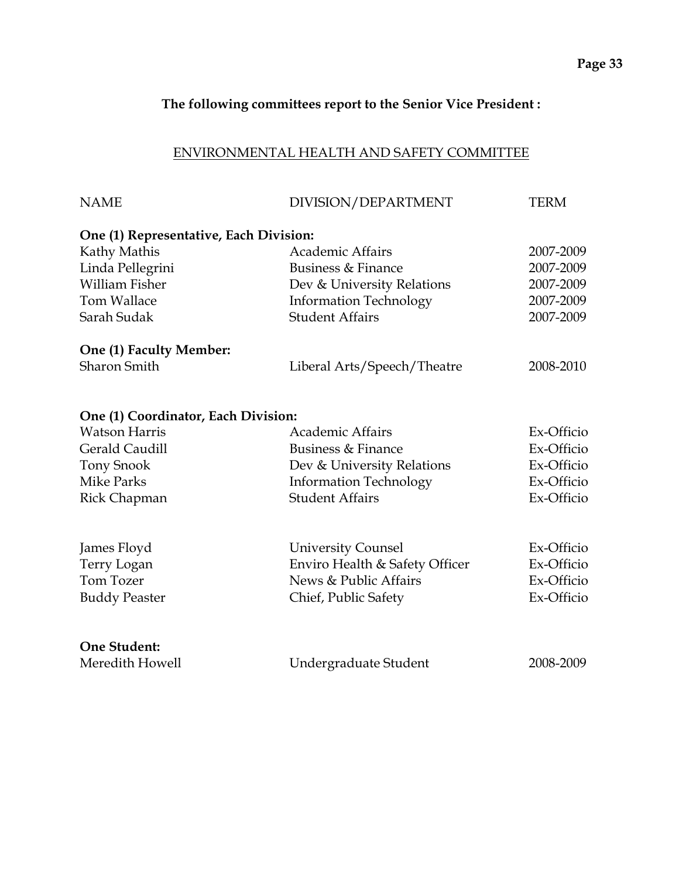#### **The following committees report to the Senior Vice President :**

#### ENVIRONMENTAL HEALTH AND SAFETY COMMITTEE

| <b>NAME</b>                            | DIVISION/DEPARTMENT            | TERM       |
|----------------------------------------|--------------------------------|------------|
| One (1) Representative, Each Division: |                                |            |
| Kathy Mathis                           | <b>Academic Affairs</b>        | 2007-2009  |
| Linda Pellegrini                       | Business & Finance             | 2007-2009  |
| <b>William Fisher</b>                  | Dev & University Relations     | 2007-2009  |
| <b>Tom Wallace</b>                     | <b>Information Technology</b>  | 2007-2009  |
| Sarah Sudak                            | <b>Student Affairs</b>         | 2007-2009  |
| One (1) Faculty Member:                |                                |            |
| <b>Sharon Smith</b>                    | Liberal Arts/Speech/Theatre    | 2008-2010  |
| One (1) Coordinator, Each Division:    |                                |            |
| <b>Watson Harris</b>                   | <b>Academic Affairs</b>        | Ex-Officio |
| Gerald Caudill                         | Business & Finance             | Ex-Officio |
| <b>Tony Snook</b>                      | Dev & University Relations     | Ex-Officio |
| <b>Mike Parks</b>                      | <b>Information Technology</b>  | Ex-Officio |
| Rick Chapman                           | <b>Student Affairs</b>         | Ex-Officio |
| James Floyd                            | <b>University Counsel</b>      | Ex-Officio |
| Terry Logan                            | Enviro Health & Safety Officer | Ex-Officio |
| Tom Tozer                              | News & Public Affairs          | Ex-Officio |
|                                        | Chief, Public Safety           | Ex-Officio |
| <b>Buddy Peaster</b>                   |                                |            |
| <b>One Student:</b>                    |                                |            |
| Meredith Howell                        | Undergraduate Student          | 2008-2009  |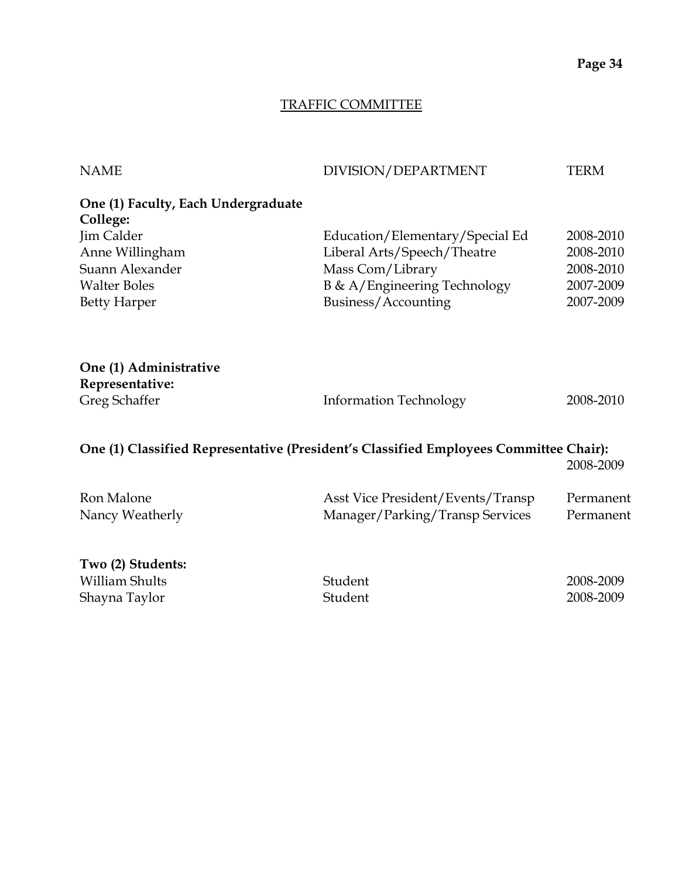## TRAFFIC COMMITTEE

| <b>NAME</b>                               | DIVISION/DEPARTMENT                                                                   | <b>TERM</b> |
|-------------------------------------------|---------------------------------------------------------------------------------------|-------------|
| One (1) Faculty, Each Undergraduate       |                                                                                       |             |
| College:                                  |                                                                                       |             |
| Jim Calder                                | Education/Elementary/Special Ed                                                       | 2008-2010   |
| Anne Willingham                           | Liberal Arts/Speech/Theatre                                                           | 2008-2010   |
| Suann Alexander                           | Mass Com/Library                                                                      | 2008-2010   |
| <b>Walter Boles</b>                       | B & A/Engineering Technology                                                          | 2007-2009   |
| <b>Betty Harper</b>                       | Business/Accounting                                                                   | 2007-2009   |
| One (1) Administrative<br>Representative: |                                                                                       |             |
| Greg Schaffer                             | <b>Information Technology</b>                                                         | 2008-2010   |
|                                           | One (1) Classified Representative (President's Classified Employees Committee Chair): | 2008-2009   |
| Ron Malone                                | Asst Vice President/Events/Transp                                                     | Permanent   |
| Nancy Weatherly                           | Manager/Parking/Transp Services                                                       | Permanent   |
| Two (2) Students:                         |                                                                                       |             |

William Shults Student 2008-2009 Shayna Taylor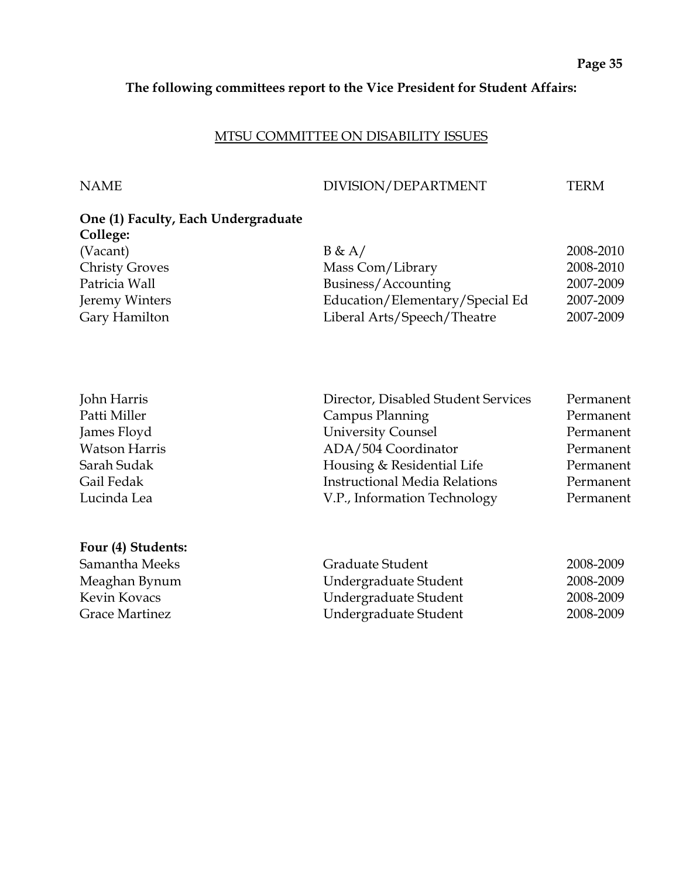## **The following committees report to the Vice President for Student Affairs:**

#### MTSU COMMITTEE ON DISABILITY ISSUES

**Four (4) Students:**

#### NAME DIVISION/DEPARTMENT TERM

| One (1) Faculty, Each Undergraduate |                                 |           |
|-------------------------------------|---------------------------------|-----------|
| College:                            |                                 |           |
| (Vacant)                            | B & A/                          | 2008-2010 |
| <b>Christy Groves</b>               | Mass Com/Library                | 2008-2010 |
| Patricia Wall                       | Business/Accounting             | 2007-2009 |
| Jeremy Winters                      | Education/Elementary/Special Ed | 2007-2009 |
| Gary Hamilton                       | Liberal Arts/Speech/Theatre     | 2007-2009 |

| John Harris          | Director, Disabled Student Services  | Permanent |
|----------------------|--------------------------------------|-----------|
| Patti Miller         | Campus Planning                      | Permanent |
| James Floyd          | <b>University Counsel</b>            | Permanent |
| <b>Watson Harris</b> | ADA/504 Coordinator                  | Permanent |
| Sarah Sudak          | Housing & Residential Life           | Permanent |
| Gail Fedak           | <b>Instructional Media Relations</b> | Permanent |
| Lucinda Lea          | V.P., Information Technology         | Permanent |

| Samantha Meeks        | Graduate Student      | 2008-2009 |
|-----------------------|-----------------------|-----------|
| Meaghan Bynum         | Undergraduate Student | 2008-2009 |
| Kevin Kovacs          | Undergraduate Student | 2008-2009 |
| <b>Grace Martinez</b> | Undergraduate Student | 2008-2009 |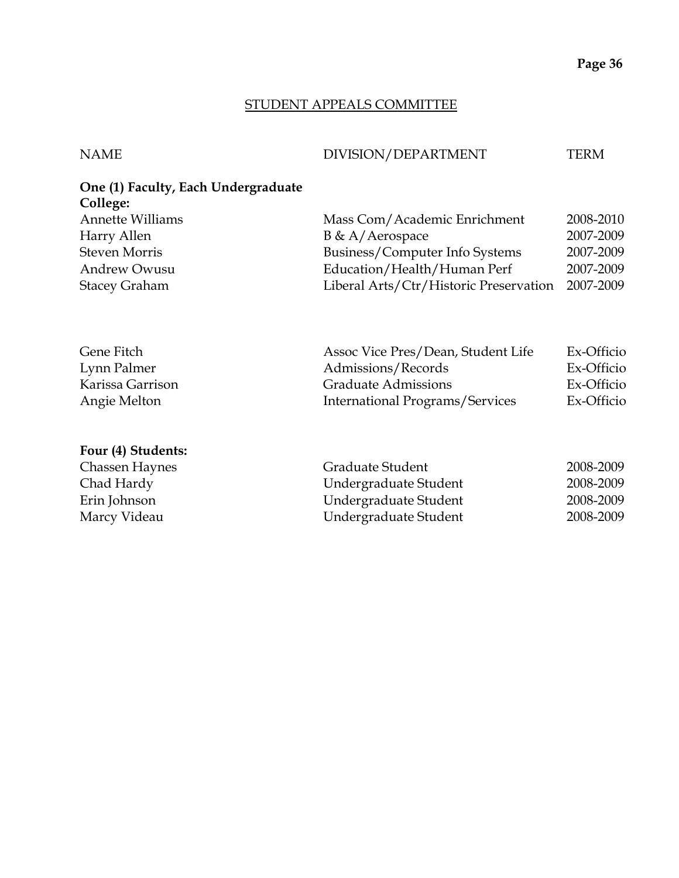#### STUDENT APPEALS COMMITTEE

#### NAME DIVISION/DEPARTMENT TERM

# **One (1) Faculty, Each Undergraduate College:**

| <b>Annette Williams</b> | Mass Com/Academic Enrichment           | 2008-2010 |
|-------------------------|----------------------------------------|-----------|
| Harry Allen             | $B \& A/Aerospace$                     | 2007-2009 |
| Steven Morris           | Business/Computer Info Systems         | 2007-2009 |
| Andrew Owusu            | Education/Health/Human Perf            | 2007-2009 |
| <b>Stacey Graham</b>    | Liberal Arts/Ctr/Historic Preservation | 2007-2009 |
|                         |                                        |           |

| Gene Fitch       | Assoc Vice Pres/Dean, Student Life | Ex-Officio |
|------------------|------------------------------------|------------|
| Lynn Palmer      | Admissions/Records                 | Ex-Officio |
| Karissa Garrison | <b>Graduate Admissions</b>         | Ex-Officio |
| Angie Melton     | International Programs/Services    | Ex-Officio |

#### **Four (4) Students:**

| Chassen Haynes | Graduate Student      | 2008-2009 |
|----------------|-----------------------|-----------|
| Chad Hardy     | Undergraduate Student | 2008-2009 |
| Erin Johnson   | Undergraduate Student | 2008-2009 |
| Marcy Videau   | Undergraduate Student | 2008-2009 |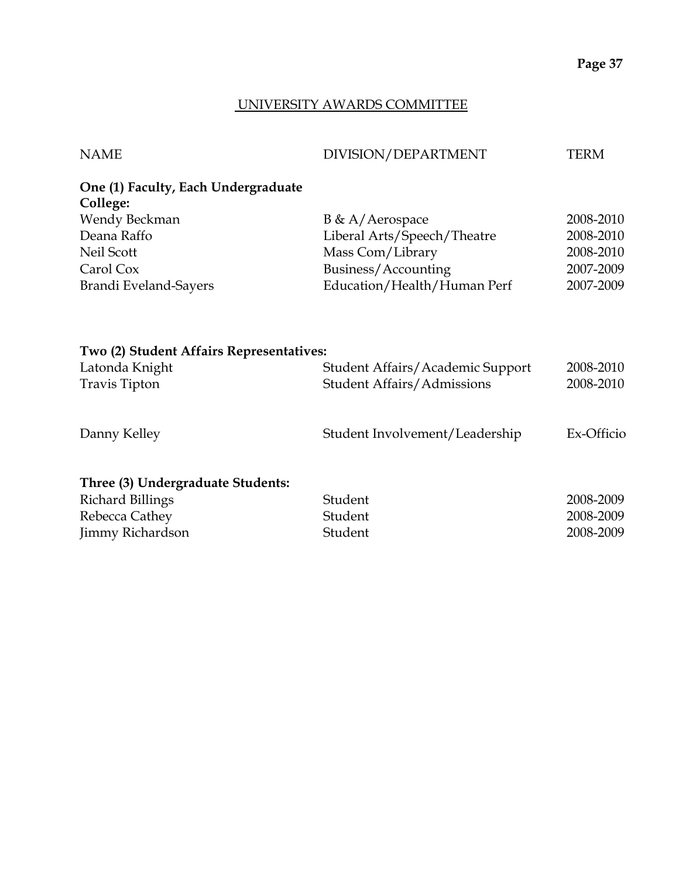#### UNIVERSITY AWARDS COMMITTEE

| <b>NAME</b>                                     | DIVISION/DEPARTMENT               | <b>TERM</b> |
|-------------------------------------------------|-----------------------------------|-------------|
| One (1) Faculty, Each Undergraduate<br>College: |                                   |             |
| Wendy Beckman                                   | $B \& A/Aerospace$                | 2008-2010   |
| Deana Raffo                                     | Liberal Arts/Speech/Theatre       | 2008-2010   |
| Neil Scott                                      | Mass Com/Library                  | 2008-2010   |
| Carol Cox                                       | Business/Accounting               | 2007-2009   |
| Brandi Eveland-Sayers                           | Education/Health/Human Perf       | 2007-2009   |
| Two (2) Student Affairs Representatives:        |                                   |             |
| Latonda Knight                                  | Student Affairs/Academic Support  | 2008-2010   |
| <b>Travis Tipton</b>                            | <b>Student Affairs/Admissions</b> | 2008-2010   |
| Danny Kelley                                    | Student Involvement/Leadership    | Ex-Officio  |
| Three (3) Undergraduate Students:               |                                   |             |
| <b>Richard Billings</b>                         | Student                           | 2008-2009   |
| Rebecca Cathey                                  | Student                           | 2008-2009   |
| <b>Jimmy Richardson</b>                         | Student                           | 2008-2009   |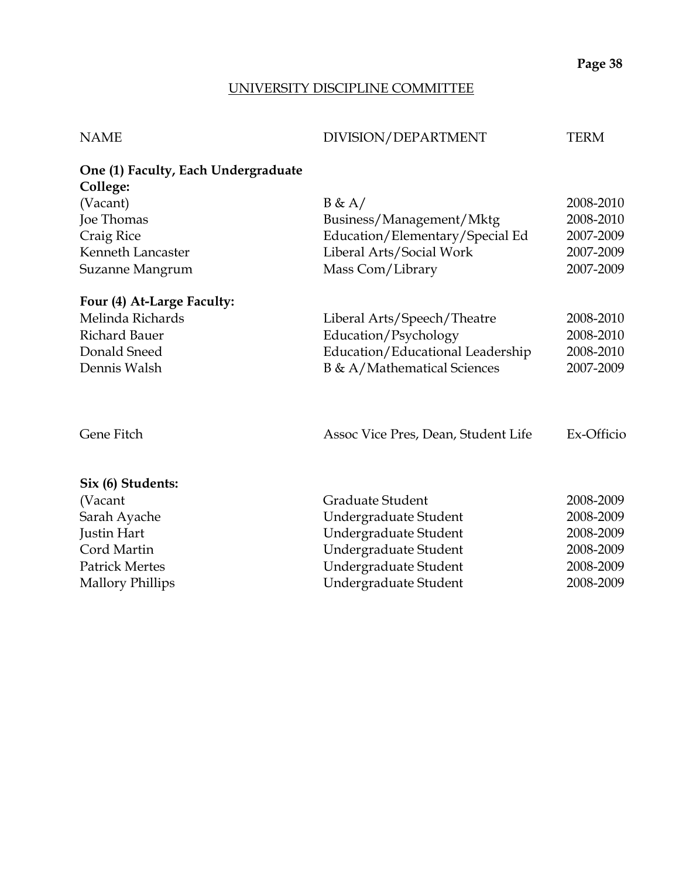#### UNIVERSITY DISCIPLINE COMMITTEE

| <b>NAME</b> | DIVISION/DEPARTMENT | TERM |
|-------------|---------------------|------|

| One (1) Faculty, Each Undergraduate |                                  |           |
|-------------------------------------|----------------------------------|-----------|
| College:                            |                                  |           |
| (Vacant)                            | B & A/                           | 2008-2010 |
| Joe Thomas                          | Business/Management/Mktg         | 2008-2010 |
| Craig Rice                          | Education/Elementary/Special Ed  | 2007-2009 |
| Kenneth Lancaster                   | Liberal Arts/Social Work         | 2007-2009 |
| Suzanne Mangrum                     | Mass Com/Library                 | 2007-2009 |
| Four (4) At-Large Faculty:          |                                  |           |
| Melinda Richards                    | Liberal Arts/Speech/Theatre      | 2008-2010 |
| Richard Bauer                       | Education/Psychology             | 2008-2010 |
| Donald Sneed                        | Education/Educational Leadership | 2008-2010 |
| Dennis Walsh                        | B & A/Mathematical Sciences      | 2007-2009 |
|                                     |                                  |           |
|                                     |                                  |           |
|                                     |                                  |           |

# Gene Fitch Assoc Vice Pres, Dean, Student Life Ex-Officio

#### **Six (6) Students:**

| (Vacant)                | Graduate Student      | 2008-2009 |
|-------------------------|-----------------------|-----------|
| Sarah Ayache            | Undergraduate Student | 2008-2009 |
| Justin Hart             | Undergraduate Student | 2008-2009 |
| Cord Martin             | Undergraduate Student | 2008-2009 |
| <b>Patrick Mertes</b>   | Undergraduate Student | 2008-2009 |
| <b>Mallory Phillips</b> | Undergraduate Student | 2008-2009 |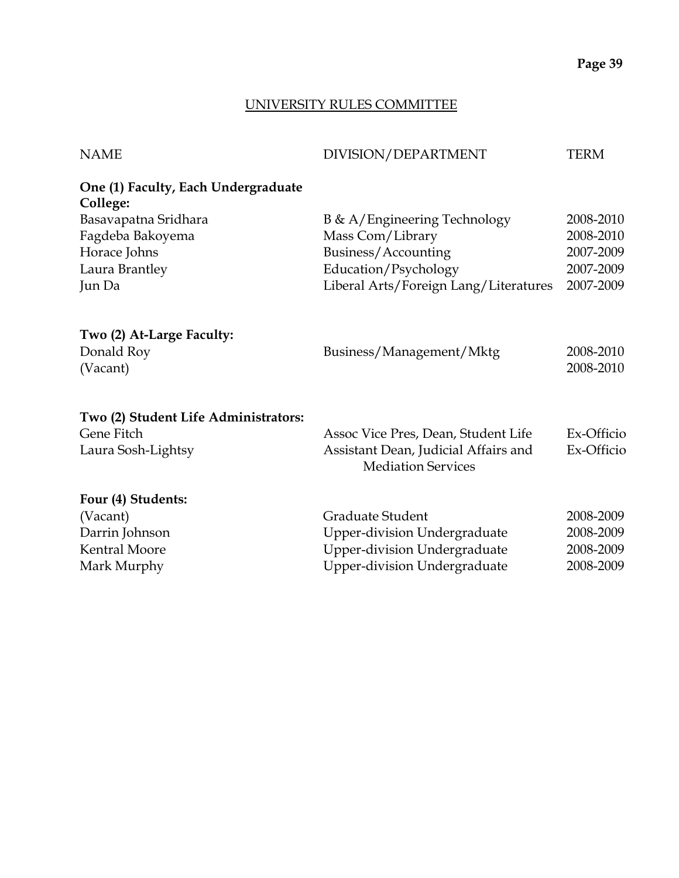#### UNIVERSITY RULES COMMITTEE

| DIVISION/DEPARTMENT                  | <b>TERM</b>                                                                                        |
|--------------------------------------|----------------------------------------------------------------------------------------------------|
|                                      |                                                                                                    |
| B & A/Engineering Technology         | 2008-2010                                                                                          |
| Mass Com/Library                     | 2008-2010                                                                                          |
| Business/Accounting                  | 2007-2009                                                                                          |
| Education/Psychology                 | 2007-2009                                                                                          |
|                                      | 2007-2009                                                                                          |
| Business/Management/Mktg             | 2008-2010<br>2008-2010                                                                             |
|                                      |                                                                                                    |
| Assoc Vice Pres, Dean, Student Life  | Ex-Officio                                                                                         |
| Assistant Dean, Judicial Affairs and | Ex-Officio                                                                                         |
|                                      |                                                                                                    |
|                                      |                                                                                                    |
| Graduate Student                     | 2008-2009                                                                                          |
| <b>Upper-division Undergraduate</b>  | 2008-2009                                                                                          |
| <b>Upper-division Undergraduate</b>  | 2008-2009                                                                                          |
|                                      | 2008-2009                                                                                          |
|                                      | Liberal Arts/Foreign Lang/Literatures<br><b>Mediation Services</b><br>Upper-division Undergraduate |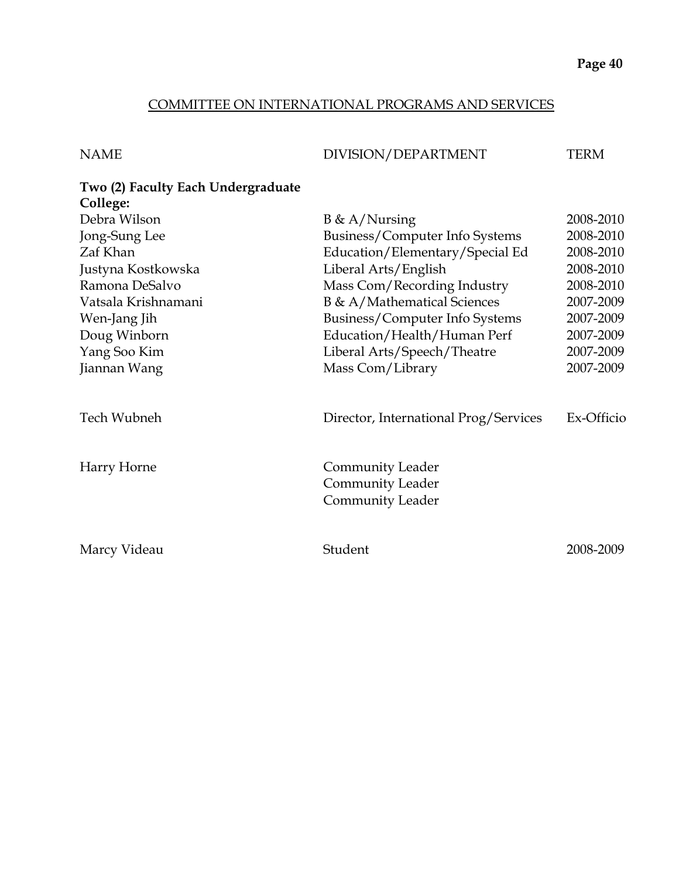#### COMMITTEE ON INTERNATIONAL PROGRAMS AND SERVICES

| <b>NAME</b>                                    | DIVISION/DEPARTMENT                                                    | <b>TERM</b> |
|------------------------------------------------|------------------------------------------------------------------------|-------------|
| Two (2) Faculty Each Undergraduate<br>College: |                                                                        |             |
| Debra Wilson                                   | $B \& A/Nursing$                                                       | 2008-2010   |
| Jong-Sung Lee                                  | Business/Computer Info Systems                                         | 2008-2010   |
| Zaf Khan                                       | Education/Elementary/Special Ed                                        | 2008-2010   |
| Justyna Kostkowska                             | Liberal Arts/English                                                   | 2008-2010   |
| Ramona DeSalvo                                 | Mass Com/Recording Industry                                            | 2008-2010   |
| Vatsala Krishnamani                            | <b>B</b> & A/Mathematical Sciences                                     | 2007-2009   |
| Wen-Jang Jih                                   | Business/Computer Info Systems                                         | 2007-2009   |
| Doug Winborn                                   | Education/Health/Human Perf                                            | 2007-2009   |
| Yang Soo Kim                                   | Liberal Arts/Speech/Theatre                                            | 2007-2009   |
| Jiannan Wang                                   | Mass Com/Library                                                       | 2007-2009   |
| Tech Wubneh                                    | Director, International Prog/Services                                  | Ex-Officio  |
| Harry Horne                                    | Community Leader<br><b>Community Leader</b><br><b>Community Leader</b> |             |
| Marcy Videau                                   | Student                                                                | 2008-2009   |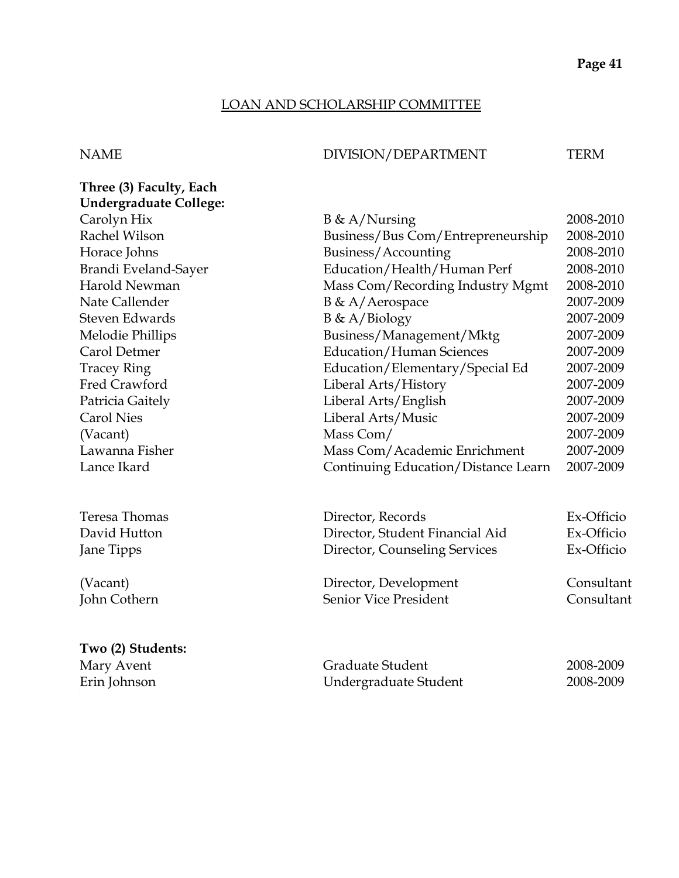#### LOAN AND SCHOLARSHIP COMMITTEE

#### NAME DIVISION/DEPARTMENT TERM

| Three (3) Faculty, Each       |                                     |            |
|-------------------------------|-------------------------------------|------------|
| <b>Undergraduate College:</b> |                                     |            |
| Carolyn Hix                   | $B \& A/Nursing$                    | 2008-2010  |
| Rachel Wilson                 | Business/Bus Com/Entrepreneurship   | 2008-2010  |
| Horace Johns                  | Business/Accounting                 | 2008-2010  |
| Brandi Eveland-Sayer          | Education/Health/Human Perf         | 2008-2010  |
| Harold Newman                 | Mass Com/Recording Industry Mgmt    | 2008-2010  |
| Nate Callender                | B & A/Aerospace                     | 2007-2009  |
| Steven Edwards                | $B \& A/Biology$                    | 2007-2009  |
| Melodie Phillips              | Business/Management/Mktg            | 2007-2009  |
| Carol Detmer                  | <b>Education/Human Sciences</b>     | 2007-2009  |
| <b>Tracey Ring</b>            | Education/Elementary/Special Ed     | 2007-2009  |
| Fred Crawford                 | Liberal Arts/History                | 2007-2009  |
| Patricia Gaitely              | Liberal Arts/English                | 2007-2009  |
| <b>Carol Nies</b>             | Liberal Arts/Music                  | 2007-2009  |
| (Vacant)                      | Mass Com/                           | 2007-2009  |
| Lawanna Fisher                | Mass Com/Academic Enrichment        | 2007-2009  |
| Lance Ikard                   | Continuing Education/Distance Learn | 2007-2009  |
| Teresa Thomas                 | Director, Records                   | Ex-Officio |
| David Hutton                  | Director, Student Financial Aid     | Ex-Officio |
| Jane Tipps                    | Director, Counseling Services       | Ex-Officio |
| (Vacant)                      | Director, Development               | Consultant |
| John Cothern                  | <b>Senior Vice President</b>        | Consultant |
|                               |                                     |            |

## **Two (2) Students:** Mary Avent Graduate Student 2008-2009 Erin Johnson Undergraduate Student 2008-2009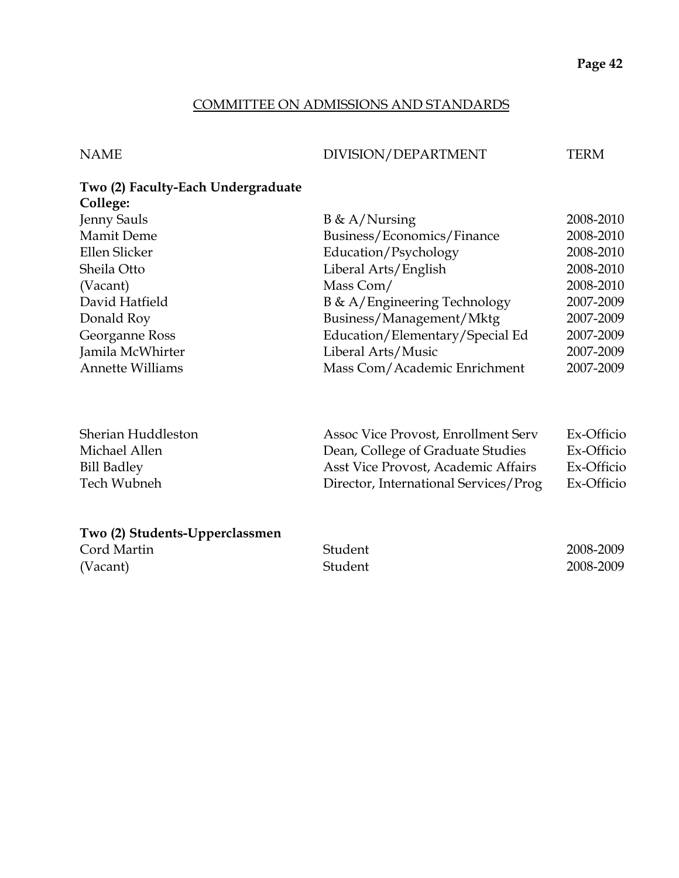#### COMMITTEE ON ADMISSIONS AND STANDARDS

#### NAME DIVISION/DEPARTMENT TERM

#### **Two (2) Faculty-Each Undergraduate College:**

| <b>Jenny Sauls</b>      | $B \& A/Nursing$                | 2008-2010 |
|-------------------------|---------------------------------|-----------|
| <b>Mamit Deme</b>       | Business/Economics/Finance      | 2008-2010 |
| Ellen Slicker           | Education/Psychology            | 2008-2010 |
| Sheila Otto             | Liberal Arts/English            | 2008-2010 |
| (Vacant)                | Mass Com/                       | 2008-2010 |
| David Hatfield          | B & A/Engineering Technology    | 2007-2009 |
| Donald Roy              | Business/Management/Mktg        | 2007-2009 |
| Georganne Ross          | Education/Elementary/Special Ed | 2007-2009 |
| Jamila McWhirter        | Liberal Arts/Music              | 2007-2009 |
| <b>Annette Williams</b> | Mass Com/Academic Enrichment    | 2007-2009 |
|                         |                                 |           |

| Sherian Huddleston | Assoc Vice Provost, Enrollment Serv   | Ex-Officio |
|--------------------|---------------------------------------|------------|
| Michael Allen      | Dean, College of Graduate Studies     | Ex-Officio |
| <b>Bill Badley</b> | Asst Vice Provost, Academic Affairs   | Ex-Officio |
| Tech Wubneh        | Director, International Services/Prog | Ex-Officio |

| Two (2) Students-Upperclassmen |         |           |
|--------------------------------|---------|-----------|
| Cord Martin                    | Student | 2008-2009 |
| (Vacant)                       | Student | 2008-2009 |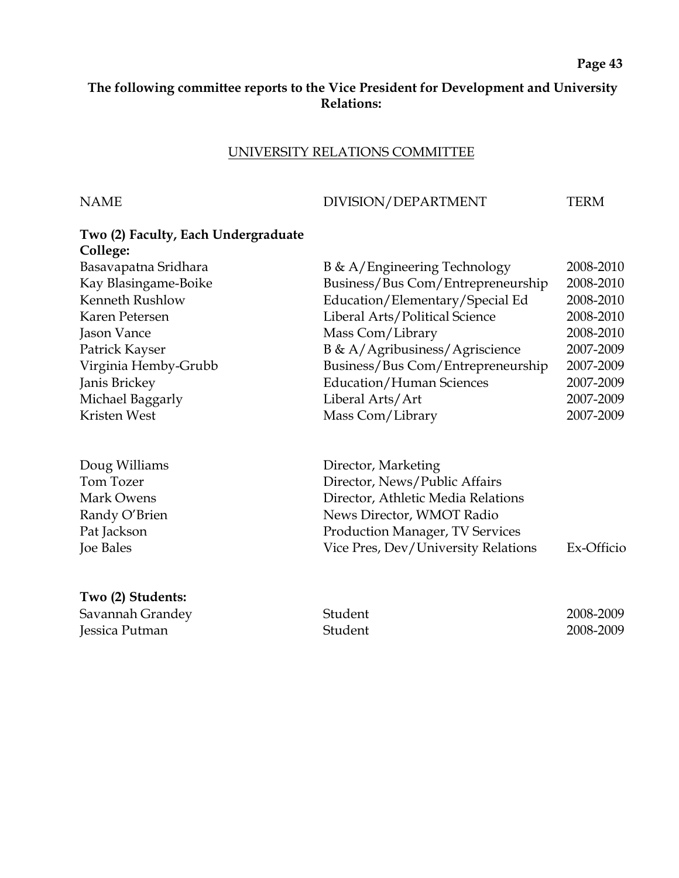### **The following committee reports to the Vice President for Development and University Relations:**

#### UNIVERSITY RELATIONS COMMITTEE

#### NAME DIVISION/DEPARTMENT TERM

| Two (2) Faculty, Each Undergraduate |                                   |           |
|-------------------------------------|-----------------------------------|-----------|
| College:                            |                                   |           |
| Basavapatna Sridhara                | B & A/Engineering Technology      | 2008-2010 |
| Kay Blasingame-Boike                | Business/Bus Com/Entrepreneurship | 2008-2010 |
| Kenneth Rushlow                     | Education/Elementary/Special Ed   | 2008-2010 |
| Karen Petersen                      | Liberal Arts/Political Science    | 2008-2010 |
| Jason Vance                         | Mass Com/Library                  | 2008-2010 |
| Patrick Kayser                      | B & A/Agribusiness/Agriscience    | 2007-2009 |
| Virginia Hemby-Grubb                | Business/Bus Com/Entrepreneurship | 2007-2009 |
| Janis Brickey                       | <b>Education/Human Sciences</b>   | 2007-2009 |
| Michael Baggarly                    | Liberal Arts/Art                  | 2007-2009 |
| Kristen West                        | Mass Com/Library                  | 2007-2009 |
|                                     |                                   |           |
|                                     |                                   |           |

Doug Williams Director, Marketing Tom Tozer Director, News/Public Affairs Mark Owens Director, Athletic Media Relations Randy O'Brien News Director, WMOT Radio Pat Jackson **Production Manager**, TV Services Joe Bales Vice Pres, Dev/University Relations Ex-Officio

**Two (2) Students:** Savannah Grandey Student 2008-2009 Jessica Putman Student 2008-2009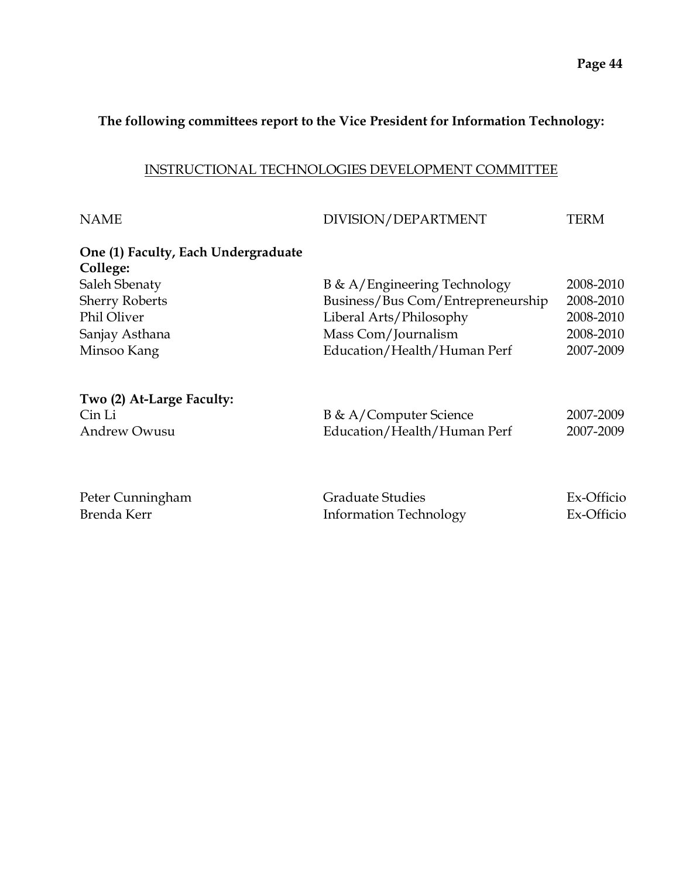#### **The following committees report to the Vice President for Information Technology:**

#### INSTRUCTIONAL TECHNOLOGIES DEVELOPMENT COMMITTEE

| <b>NAME</b>                         | DIVISION/DEPARTMENT               | TERM      |
|-------------------------------------|-----------------------------------|-----------|
| One (1) Faculty, Each Undergraduate |                                   |           |
| College:                            |                                   |           |
| Saleh Sbenaty                       | B & A/Engineering Technology      | 2008-2010 |
| <b>Sherry Roberts</b>               | Business/Bus Com/Entrepreneurship | 2008-2010 |
| <b>Phil Oliver</b>                  | Liberal Arts/Philosophy           | 2008-2010 |
| Sanjay Asthana                      | Mass Com/Journalism               | 2008-2010 |
| Minsoo Kang                         | Education/Health/Human Perf       | 2007-2009 |
| Two (2) At-Large Faculty:           |                                   |           |
| Cin Li                              | B & A/Computer Science            | 2007-2009 |
| <b>Andrew Owusu</b>                 | Education/Health/Human Perf       | 2007-2009 |
|                                     |                                   |           |
|                                     |                                   |           |
|                                     |                                   |           |

| Peter Cunningham | <b>Graduate Studies</b>       | Ex-Officio |
|------------------|-------------------------------|------------|
| Brenda Kerr      | <b>Information Technology</b> | Ex-Officio |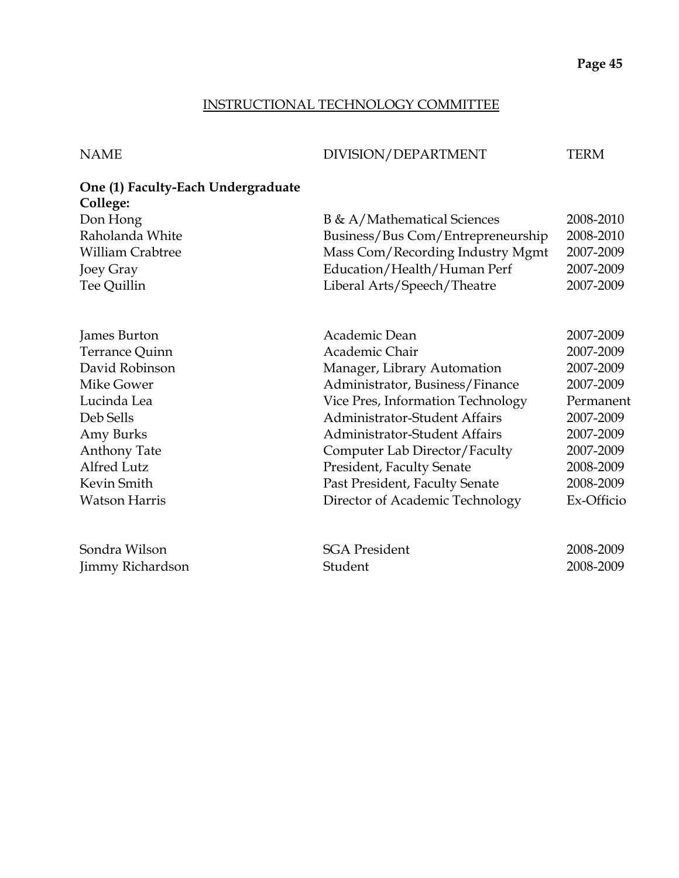#### INSTRUCTIONAL TECHNOLOGY COMMITTEE

| <b>NAME</b>                                    | DIVISION/DEPARTMENT                  | <b>TERM</b> |
|------------------------------------------------|--------------------------------------|-------------|
| One (1) Faculty-Each Undergraduate<br>College: |                                      |             |
| Don Hong                                       | B & A/Mathematical Sciences          | 2008-2010   |
| Raholanda White                                | Business/Bus Com/Entrepreneurship    | 2008-2010   |
| <b>William Crabtree</b>                        | Mass Com/Recording Industry Mgmt     | 2007-2009   |
| Joey Gray                                      | Education/Health/Human Perf          | 2007-2009   |
| Tee Quillin                                    | Liberal Arts/Speech/Theatre          | 2007-2009   |
|                                                |                                      |             |
| James Burton                                   | Academic Dean                        | 2007-2009   |
| Terrance Quinn                                 | Academic Chair                       | 2007-2009   |
| David Robinson                                 | Manager, Library Automation          | 2007-2009   |
| Mike Gower                                     | Administrator, Business/Finance      | 2007-2009   |
| Lucinda Lea                                    | Vice Pres, Information Technology    | Permanent   |
| Deb Sells                                      | <b>Administrator-Student Affairs</b> | 2007-2009   |
| Amy Burks                                      | <b>Administrator-Student Affairs</b> | 2007-2009   |
| <b>Anthony Tate</b>                            | Computer Lab Director/Faculty        | 2007-2009   |
| <b>Alfred Lutz</b>                             | President, Faculty Senate            | 2008-2009   |
| Kevin Smith                                    | Past President, Faculty Senate       | 2008-2009   |
| <b>Watson Harris</b>                           | Director of Academic Technology      | Ex-Officio  |
| Sondra Wilson                                  | <b>SGA President</b>                 | 2008-2009   |
| Jimmy Richardson                               | Student                              | 2008-2009   |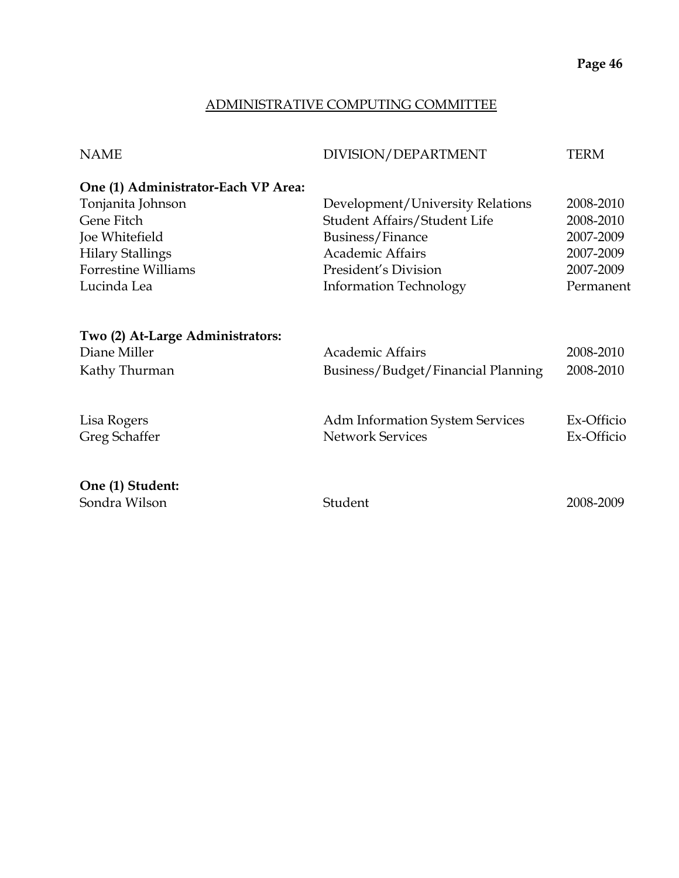#### ADMINISTRATIVE COMPUTING COMMITTEE

| <b>NAME</b>                         | DIVISION/DEPARTMENT                    | TERM       |
|-------------------------------------|----------------------------------------|------------|
| One (1) Administrator-Each VP Area: |                                        |            |
| Tonjanita Johnson                   | Development/University Relations       | 2008-2010  |
| Gene Fitch                          | Student Affairs/Student Life           | 2008-2010  |
| Joe Whitefield                      | Business/Finance                       | 2007-2009  |
| <b>Hilary Stallings</b>             | Academic Affairs                       | 2007-2009  |
| <b>Forrestine Williams</b>          | President's Division                   | 2007-2009  |
| Lucinda Lea                         | <b>Information Technology</b>          | Permanent  |
| Two (2) At-Large Administrators:    |                                        |            |
| Diane Miller                        | <b>Academic Affairs</b>                | 2008-2010  |
| Kathy Thurman                       | Business/Budget/Financial Planning     | 2008-2010  |
| Lisa Rogers                         | <b>Adm Information System Services</b> | Ex-Officio |
| Greg Schaffer                       | <b>Network Services</b>                | Ex-Officio |
| One (1) Student:                    |                                        |            |
| Sondra Wilson                       | Student                                | 2008-2009  |